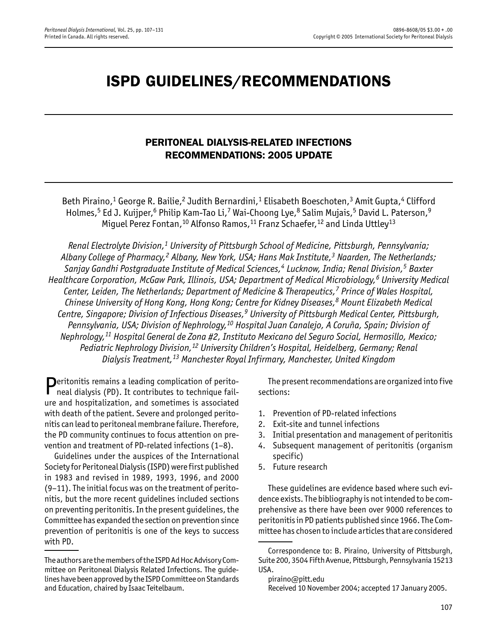# ISPD GUIDELINES/RECOMMENDATIONS

## PERITONEAL DIALYSIS-RELATED INFECTIONS RECOMMENDATIONS: 2005 UPDATE

Beth Piraino,<sup>1</sup> George R. Bailie,<sup>2</sup> Judith Bernardini,<sup>1</sup> Elisabeth Boeschoten,<sup>3</sup> Amit Gupta,<sup>4</sup> Clifford Holmes,<sup>5</sup> Ed J. Kuijper,<sup>6</sup> Philip Kam-Tao Li,<sup>7</sup> Wai-Choong Lye,<sup>8</sup> Salim Mujais,<sup>5</sup> David L. Paterson,<sup>9</sup> Miguel Perez Fontan,<sup>10</sup> Alfonso Ramos,<sup>11</sup> Franz Schaefer,<sup>12</sup> and Linda Uttley<sup>13</sup>

Renal Electrolyte Division,<sup>1</sup> University of Pittsburgh School of Medicine, Pittsburgh, Pennsylvania; Albany College of Pharmacy,<sup>2</sup> Albany, New York, USA; Hans Mak Institute,<sup>3</sup> Naarden, The Netherlands; Sanjay Gandhi Postgraduate Institute of Medical Sciences,<sup>4</sup> Lucknow, India; Renal Division,<sup>5</sup> Baxter Healthcare Corporation, McGaw Park, Illinois, USA; Department of Medical Microbiology,<sup>6</sup> University Medical Center, Leiden, The Netherlands; Department of Medicine & Therapeutics,<sup>7</sup> Prince of Wales Hospital, Chinese University of Hong Kong, Hong Kong; Centre for Kidney Diseases, $8$  Mount Elizabeth Medical Centre, Singapore; Division of Infectious Diseases,<sup>9</sup> University of Pittsburgh Medical Center, Pittsburgh, Pennsylvania, USA; Division of Nephrology,<sup>10</sup> Hospital Juan Canalejo, A Coruña, Spain; Division of Nephrology,11 Hospital General de Zona #2, Instituto Mexicano del Seguro Social, Hermosillo, Mexico; Pediatric Nephrology Division,<sup>12</sup> University Children's Hospital, Heidelberg, Germany; Renal Dialysis Treatment,<sup>13</sup> Manchester Royal Infirmary, Manchester, United Kingdom

**Deritonitis remains a leading complication of perito**neal dialysis (PD). It contributes to technique failure and hospitalization, and sometimes is associated with death of the patient. Severe and prolonged peritonitis can lead to peritoneal membrane failure. Therefore, the PD community continues to focus attention on prevention and treatment of PD-related infections (1–8).

Guidelines under the auspices of the International Society for Peritoneal Dialysis (ISPD) were first published in 1983 and revised in 1989, 1993, 1996, and 2000 (9–11). The initial focus was on the treatment of peritonitis, but the more recent guidelines included sections on preventing peritonitis. In the present guidelines, the Committee has expanded the section on prevention since prevention of peritonitis is one of the keys to success with PD.

The present recommendations are organized into five sections:

- 1. Prevention of PD-related infections
- 2. Exit-site and tunnel infections
- 3. Initial presentation and management of peritonitis
- 4. Subsequent management of peritonitis (organism specific)
- 5. Future research

These guidelines are evidence based where such evidence exists. The bibliography is not intended to be comprehensive as there have been over 9000 references to peritonitis in PD patients published since 1966. The Committee has chosen to include articles that are considered

The authors are the members of the ISPD Ad Hoc Advisory Committee on Peritoneal Dialysis Related Infections. The guidelines have been approved by the ISPD Committee on Standards and Education, chaired by Isaac Teitelbaum.

Correspondence to: B. Piraino, University of Pittsburgh, Suite 200, 3504 Fifth Avenue, Pittsburgh, Pennsylvania 15213 USA.

piraino@pitt.edu

Received 10 November 2004; accepted 17 January 2005.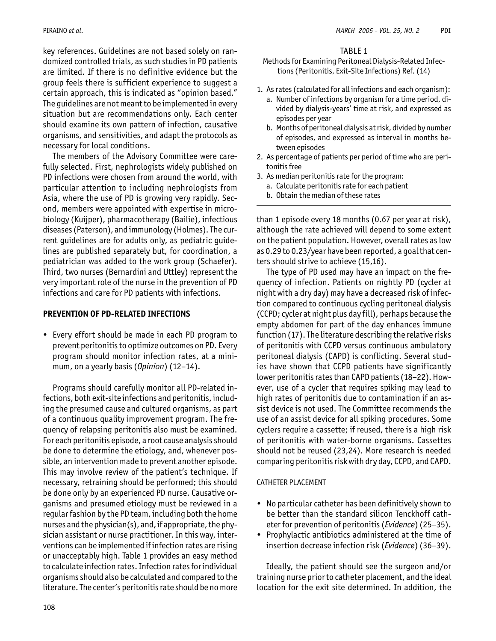key references. Guidelines are not based solely on randomized controlled trials, as such studies in PD patients are limited. If there is no definitive evidence but the group feels there is sufficient experience to suggest a certain approach, this is indicated as "opinion based." The guidelines are not meant to be implemented in every situation but are recommendations only. Each center should examine its own pattern of infection, causative organisms, and sensitivities, and adapt the protocols as necessary for local conditions.

The members of the Advisory Committee were carefully selected. First, nephrologists widely published on PD infections were chosen from around the world, with particular attention to including nephrologists from Asia, where the use of PD is growing very rapidly. Second, members were appointed with expertise in microbiology (Kuijper), pharmacotherapy (Bailie), infectious diseases (Paterson), and immunology (Holmes). The current guidelines are for adults only, as pediatric guidelines are published separately but, for coordination, a pediatrician was added to the work group (Schaefer). Third, two nurses (Bernardini and Uttley) represent the very important role of the nurse in the prevention of PD infections and care for PD patients with infections.

## PREVENTION OF PD-RELATED INFECTIONS

• Every effort should be made in each PD program to prevent peritonitis to optimize outcomes on PD. Every program should monitor infection rates, at a minimum, on a yearly basis (Opinion) (12-14).

Programs should carefully monitor all PD-related infections, both exit-site infections and peritonitis, including the presumed cause and cultured organisms, as part of a continuous quality improvement program. The frequency of relapsing peritonitis also must be examined. For each peritonitis episode, a root cause analysis should be done to determine the etiology, and, whenever possible, an intervention made to prevent another episode. This may involve review of the patient's technique. If necessary, retraining should be performed; this should be done only by an experienced PD nurse. Causative organisms and presumed etiology must be reviewed in a regular fashion by the PD team, including both the home nurses and the physician(s), and, if appropriate, the physician assistant or nurse practitioner. In this way, interventions can be implemented if infection rates are rising or unacceptably high. Table 1 provides an easy method to calculate infection rates. Infection rates for individual organisms should also be calculated and compared to the literature. The center's peritonitis rate should be no more

#### TABLE 1

Methods for Examining Peritoneal Dialysis-Related Infections (Peritonitis, Exit-Site Infections) Ref. (14)

- 1. As rates (calculated for all infections and each organism):
	- a. Number of infections by organism for a time period, divided by dialysis-years' time at risk, and expressed as episodes per year
	- b. Months of peritoneal dialysis at risk, divided by number of episodes, and expressed as interval in months between episodes
- 2. As percentage of patients per period of time who are peritonitis free
- 3. As median peritonitis rate for the program:
	- a. Calculate peritonitis rate for each patient
	- b. Obtain the median of these rates

than 1 episode every 18 months (0.67 per year at risk), although the rate achieved will depend to some extent on the patient population. However, overall rates as low as 0.29 to 0.23/year have been reported, a goal that centers should strive to achieve (15,16).

The type of PD used may have an impact on the frequency of infection. Patients on nightly PD (cycler at night with a dry day) may have a decreased risk of infection compared to continuous cycling peritoneal dialysis (CCPD; cycler at night plus day fill), perhaps because the empty abdomen for part of the day enhances immune function (17). The literature describing the relative risks of peritonitis with CCPD versus continuous ambulatory peritoneal dialysis (CAPD) is conflicting. Several studies have shown that CCPD patients have significantly lower peritonitis rates than CAPD patients (18–22). However, use of a cycler that requires spiking may lead to high rates of peritonitis due to contamination if an assist device is not used. The Committee recommends the use of an assist device for all spiking procedures. Some cyclers require a cassette; if reused, there is a high risk of peritonitis with water-borne organisms. Cassettes should not be reused (23,24). More research is needed comparing peritonitis risk with dry day, CCPD, and CAPD.

## CATHETER PLACEMENT

- No particular catheter has been definitively shown to be better than the standard silicon Tenckhoff catheter for prevention of peritonitis (Evidence) (25–35).
- Prophylactic antibiotics administered at the time of insertion decrease infection risk (Evidence) (36–39).

Ideally, the patient should see the surgeon and/or training nurse prior to catheter placement, and the ideal location for the exit site determined. In addition, the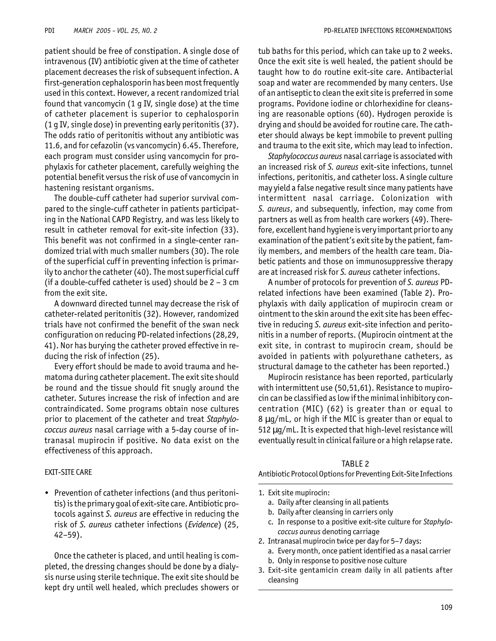patient should be free of constipation. A single dose of intravenous (IV) antibiotic given at the time of catheter placement decreases the risk of subsequent infection. A first-generation cephalosporin has been most frequently used in this context. However, a recent randomized trial found that vancomycin (1 g IV, single dose) at the time of catheter placement is superior to cephalosporin (1 g IV, single dose) in preventing early peritonitis (37). The odds ratio of peritonitis without any antibiotic was 11.6, and for cefazolin (vs vancomycin) 6.45. Therefore, each program must consider using vancomycin for prophylaxis for catheter placement, carefully weighing the potential benefit versus the risk of use of vancomycin in hastening resistant organisms.

The double-cuff catheter had superior survival compared to the single-cuff catheter in patients participating in the National CAPD Registry, and was less likely to result in catheter removal for exit-site infection (33). This benefit was not confirmed in a single-center randomized trial with much smaller numbers (30). The role of the superficial cuff in preventing infection is primarily to anchor the catheter (40). The most superficial cuff (if a double-cuffed catheter is used) should be 2 – 3 cm from the exit site.

A downward directed tunnel may decrease the risk of catheter-related peritonitis (32). However, randomized trials have not confirmed the benefit of the swan neck configuration on reducing PD-related infections (28,29, 41). Nor has burying the catheter proved effective in reducing the risk of infection (25).

Every effort should be made to avoid trauma and hematoma during catheter placement. The exit site should be round and the tissue should fit snugly around the catheter. Sutures increase the risk of infection and are contraindicated. Some programs obtain nose cultures prior to placement of the catheter and treat Staphylococcus aureus nasal carriage with a 5-day course of intranasal mupirocin if positive. No data exist on the effectiveness of this approach.

#### EXIT-SITE CARE

• Prevention of catheter infections (and thus peritonitis) is the primary goal of exit-site care. Antibiotic protocols against S. aureus are effective in reducing the risk of S. aureus catheter infections (Evidence) (25, 42–59).

Once the catheter is placed, and until healing is completed, the dressing changes should be done by a dialysis nurse using sterile technique. The exit site should be kept dry until well healed, which precludes showers or tub baths for this period, which can take up to 2 weeks. Once the exit site is well healed, the patient should be taught how to do routine exit-site care. Antibacterial soap and water are recommended by many centers. Use of an antiseptic to clean the exit site is preferred in some programs. Povidone iodine or chlorhexidine for cleansing are reasonable options (60). Hydrogen peroxide is drying and should be avoided for routine care. The catheter should always be kept immobile to prevent pulling and trauma to the exit site, which may lead to infection.

Staphylococcus aureus nasal carriage is associated with an increased risk of S. aureus exit-site infections, tunnel infections, peritonitis, and catheter loss. A single culture may yield a false negative result since many patients have intermittent nasal carriage. Colonization with S. aureus, and subsequently, infection, may come from partners as well as from health care workers (49). Therefore, excellent hand hygiene is very important prior to any examination of the patient's exit site by the patient, family members, and members of the health care team. Diabetic patients and those on immunosuppressive therapy are at increased risk for S. aureus catheter infections.

A number of protocols for prevention of S. aureus PDrelated infections have been examined (Table 2). Prophylaxis with daily application of mupirocin cream or ointment to the skin around the exit site has been effective in reducing S. aureus exit-site infection and peritonitis in a number of reports. (Mupirocin ointment at the exit site, in contrast to mupirocin cream, should be avoided in patients with polyurethane catheters, as structural damage to the catheter has been reported.)

Mupirocin resistance has been reported, particularly with intermittent use (50,51,61). Resistance to mupirocin can be classified as low if the minimal inhibitory concentration (MIC) (62) is greater than or equal to 8 µg/mL, or high if the MIC is greater than or equal to 512 µg/mL. It is expected that high-level resistance will eventually result in clinical failure or a high relapse rate.

#### TABLE 2

Antibiotic Protocol Options for Preventing Exit-Site Infections

- 1. Exit site mupirocin:
	- a. Daily after cleansing in all patients
	- b. Daily after cleansing in carriers only
	- c. In response to a positive exit-site culture for Staphylococcus aureus denoting carriage
- 2. Intranasal mupirocin twice per day for 5–7 days:
	- a. Every month, once patient identified as a nasal carrier b. Only in response to positive nose culture
- 3. Exit-site gentamicin cream daily in all patients after cleansing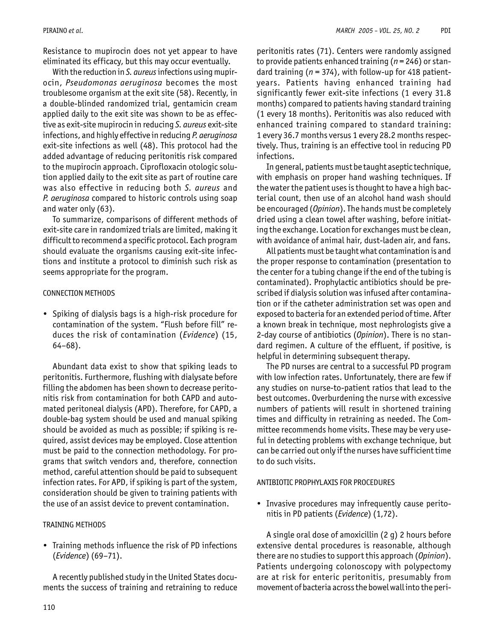Resistance to mupirocin does not yet appear to have eliminated its efficacy, but this may occur eventually.

With the reduction in S. aureus infections using mupirocin, Pseudomonas aeruginosa becomes the most troublesome organism at the exit site (58). Recently, in a double-blinded randomized trial, gentamicin cream applied daily to the exit site was shown to be as effective as exit-site mupirocin in reducing S. aureus exit-site infections, and highly effective in reducing P. aeruginosa exit-site infections as well (48). This protocol had the added advantage of reducing peritonitis risk compared to the mupirocin approach. Ciprofloxacin otologic solution applied daily to the exit site as part of routine care was also effective in reducing both S. aureus and P. aeruginosa compared to historic controls using soap and water only (63).

To summarize, comparisons of different methods of exit-site care in randomized trials are limited, making it difficult to recommend a specific protocol. Each program should evaluate the organisms causing exit-site infections and institute a protocol to diminish such risk as seems appropriate for the program.

## CONNECTION METHODS

• Spiking of dialysis bags is a high-risk procedure for contamination of the system. "Flush before fill" reduces the risk of contamination (Evidence) (15, 64–68).

Abundant data exist to show that spiking leads to peritonitis. Furthermore, flushing with dialysate before filling the abdomen has been shown to decrease peritonitis risk from contamination for both CAPD and automated peritoneal dialysis (APD). Therefore, for CAPD, a double-bag system should be used and manual spiking should be avoided as much as possible; if spiking is required, assist devices may be employed. Close attention must be paid to the connection methodology. For programs that switch vendors and, therefore, connection method, careful attention should be paid to subsequent infection rates. For APD, if spiking is part of the system, consideration should be given to training patients with the use of an assist device to prevent contamination.

## TRAINING METHODS

• Training methods influence the risk of PD infections (Evidence) (69–71).

A recently published study in the United States documents the success of training and retraining to reduce

peritonitis rates (71). Centers were randomly assigned to provide patients enhanced training ( $n = 246$ ) or standard training ( $n = 374$ ), with follow-up for 418 patientyears. Patients having enhanced training had significantly fewer exit-site infections (1 every 31.8 months) compared to patients having standard training (1 every 18 months). Peritonitis was also reduced with enhanced training compared to standard training: 1 every 36.7 months versus 1 every 28.2 months respectively. Thus, training is an effective tool in reducing PD infections.

In general, patients must be taught aseptic technique, with emphasis on proper hand washing techniques. If the water the patient uses is thought to have a high bacterial count, then use of an alcohol hand wash should be encouraged (Opinion). The hands must be completely dried using a clean towel after washing, before initiating the exchange. Location for exchanges must be clean, with avoidance of animal hair, dust-laden air, and fans.

All patients must be taught what contamination is and the proper response to contamination (presentation to the center for a tubing change if the end of the tubing is contaminated). Prophylactic antibiotics should be prescribed if dialysis solution was infused after contamination or if the catheter administration set was open and exposed to bacteria for an extended period of time. After a known break in technique, most nephrologists give a 2-day course of antibiotics (Opinion). There is no standard regimen. A culture of the effluent, if positive, is helpful in determining subsequent therapy.

The PD nurses are central to a successful PD program with low infection rates. Unfortunately, there are few if any studies on nurse-to-patient ratios that lead to the best outcomes. Overburdening the nurse with excessive numbers of patients will result in shortened training times and difficulty in retraining as needed. The Committee recommends home visits. These may be very useful in detecting problems with exchange technique, but can be carried out only if the nurses have sufficient time to do such visits.

#### ANTIBIOTIC PROPHYLAXIS FOR PROCEDURES

• Invasive procedures may infrequently cause peritonitis in PD patients (Evidence) (1,72).

A single oral dose of amoxicillin (2 g) 2 hours before extensive dental procedures is reasonable, although there are no studies to support this approach (Opinion). Patients undergoing colonoscopy with polypectomy are at risk for enteric peritonitis, presumably from movement of bacteria across the bowel wall into the peri-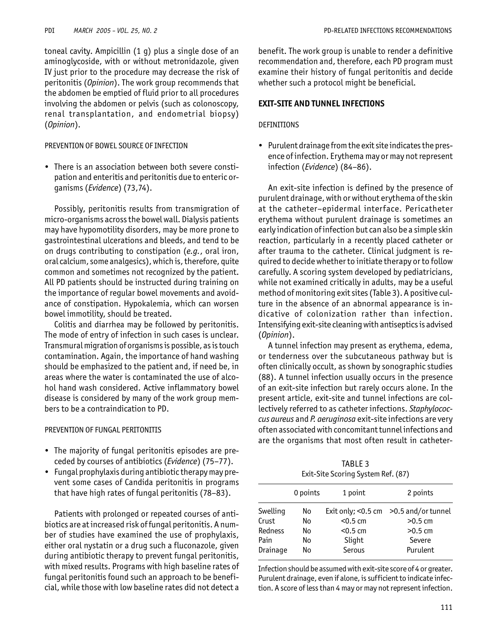toneal cavity. Ampicillin (1 g) plus a single dose of an aminoglycoside, with or without metronidazole, given IV just prior to the procedure may decrease the risk of peritonitis (Opinion). The work group recommends that the abdomen be emptied of fluid prior to all procedures involving the abdomen or pelvis (such as colonoscopy, renal transplantation, and endometrial biopsy) (Opinion).

#### PREVENTION OF BOWEL SOURCE OF INFECTION

• There is an association between both severe constipation and enteritis and peritonitis due to enteric organisms (Evidence) (73,74).

Possibly, peritonitis results from transmigration of micro-organisms across the bowel wall. Dialysis patients may have hypomotility disorders, may be more prone to gastrointestinal ulcerations and bleeds, and tend to be on drugs contributing to constipation (e.g., oral iron, oral calcium, some analgesics), which is, therefore, quite common and sometimes not recognized by the patient. All PD patients should be instructed during training on the importance of regular bowel movements and avoidance of constipation. Hypokalemia, which can worsen bowel immotility, should be treated.

Colitis and diarrhea may be followed by peritonitis. The mode of entry of infection in such cases is unclear. Transmural migration of organisms is possible, as is touch contamination. Again, the importance of hand washing should be emphasized to the patient and, if need be, in areas where the water is contaminated the use of alcohol hand wash considered. Active inflammatory bowel disease is considered by many of the work group members to be a contraindication to PD.

#### PREVENTION OF FUNGAL PERITONITIS

- The majority of fungal peritonitis episodes are preceded by courses of antibiotics (Evidence) (75-77).
- Fungal prophylaxis during antibiotic therapy may prevent some cases of Candida peritonitis in programs that have high rates of fungal peritonitis (78–83).

Patients with prolonged or repeated courses of antibiotics are at increased risk of fungal peritonitis. A number of studies have examined the use of prophylaxis, either oral nystatin or a drug such a fluconazole, given during antibiotic therapy to prevent fungal peritonitis, with mixed results. Programs with high baseline rates of fungal peritonitis found such an approach to be beneficial, while those with low baseline rates did not detect a

benefit. The work group is unable to render a definitive recommendation and, therefore, each PD program must examine their history of fungal peritonitis and decide whether such a protocol might be beneficial.

## EXIT-SITE AND TUNNEL INFECTIONS

## DEFINITIONS

• Purulent drainage from the exit site indicates the presence of infection. Erythema may or may not represent infection (Evidence) (84–86).

An exit-site infection is defined by the presence of purulent drainage, with or without erythema of the skin at the catheter–epidermal interface. Pericatheter erythema without purulent drainage is sometimes an early indication of infection but can also be a simple skin reaction, particularly in a recently placed catheter or after trauma to the catheter. Clinical judgment is required to decide whether to initiate therapy or to follow carefully. A scoring system developed by pediatricians, while not examined critically in adults, may be a useful method of monitoring exit sites (Table 3). A positive culture in the absence of an abnormal appearance is indicative of colonization rather than infection. Intensifying exit-site cleaning with antiseptics is advised (Opinion).

A tunnel infection may present as erythema, edema, or tenderness over the subcutaneous pathway but is often clinically occult, as shown by sonographic studies (88). A tunnel infection usually occurs in the presence of an exit-site infection but rarely occurs alone. In the present article, exit-site and tunnel infections are collectively referred to as catheter infections. Staphylococcus aureus and P. aeruginosa exit-site infections are very often associated with concomitant tunnel infections and are the organisms that most often result in catheter-

TABLE 3 Exit-Site Scoring System Ref. (87)

|          | 0 points | 1 point               | 2 points           |
|----------|----------|-----------------------|--------------------|
| Swelling | No       | Exit only; $<$ 0.5 cm | >0.5 and/or tunnel |
| Crust    | No       | $<$ 0.5 cm            | $>0.5$ cm          |
| Redness  | No       | $<$ 0.5 cm            | $>0.5$ cm          |
| Pain     | No       | Slight                | Severe             |
| Drainage | Nο       | Serous                | Purulent           |

Infection should be assumed with exit-site score of 4 or greater. Purulent drainage, even if alone, is sufficient to indicate infection. A score of less than 4 may or may not represent infection.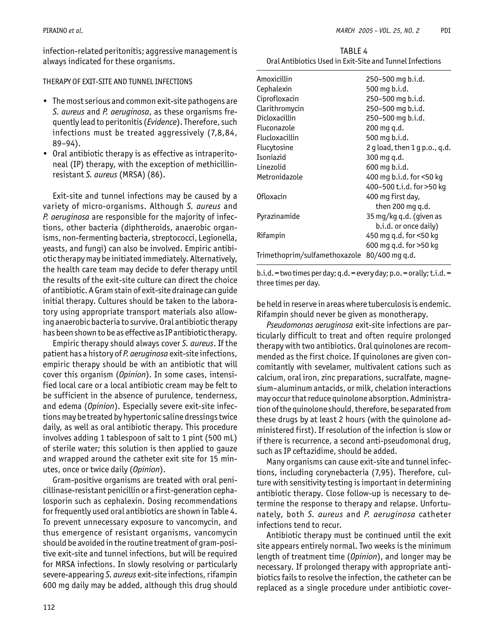infection-related peritonitis; aggressive management is always indicated for these organisms.

#### THERAPY OF EXIT-SITE AND TUNNEL INFECTIONS

- The most serious and common exit-site pathogens are S. aureus and P. aeruginosa, as these organisms frequently lead to peritonitis (*Evidence*). Therefore, such infections must be treated aggressively (7,8,84, 89–94).
- Oral antibiotic therapy is as effective as intraperitoneal (IP) therapy, with the exception of methicillinresistant S. aureus (MRSA) (86).

Exit-site and tunnel infections may be caused by a variety of micro-organisms. Although S. aureus and P. aeruginosa are responsible for the majority of infections, other bacteria (diphtheroids, anaerobic organisms, non-fermenting bacteria, streptococci, Legionella, yeasts, and fungi) can also be involved. Empiric antibiotic therapy may be initiated immediately. Alternatively, the health care team may decide to defer therapy until the results of the exit-site culture can direct the choice of antibiotic. A Gram stain of exit-site drainage can guide initial therapy. Cultures should be taken to the laboratory using appropriate transport materials also allowing anaerobic bacteria to survive. Oral antibiotic therapy has been shown to be as effective as IP antibiotic therapy.

Empiric therapy should always cover S. aureus. If the patient has a history of P. aeruginosa exit-site infections, empiric therapy should be with an antibiotic that will cover this organism (Opinion). In some cases, intensified local care or a local antibiotic cream may be felt to be sufficient in the absence of purulence, tenderness, and edema (Opinion). Especially severe exit-site infections may be treated by hypertonic saline dressings twice daily, as well as oral antibiotic therapy. This procedure involves adding 1 tablespoon of salt to 1 pint (500 mL) of sterile water; this solution is then applied to gauze and wrapped around the catheter exit site for 15 minutes, once or twice daily (Opinion).

Gram-positive organisms are treated with oral penicillinase-resistant penicillin or a first-generation cephalosporin such as cephalexin. Dosing recommendations for frequently used oral antibiotics are shown in Table 4. To prevent unnecessary exposure to vancomycin, and thus emergence of resistant organisms, vancomycin should be avoided in the routine treatment of gram-positive exit-site and tunnel infections, but will be required for MRSA infections. In slowly resolving or particularly severe-appearing S. aureus exit-site infections, rifampin 600 mg daily may be added, although this drug should

PIRAINO et al. MARCH 2005 – VOL. 25, NO. 2 PDI

| TABLE 4                                                  |
|----------------------------------------------------------|
| Oral Antibiotics Used in Exit-Site and Tunnel Infections |

| Amoxicillin                                  | 250–500 mg b.i.d.             |
|----------------------------------------------|-------------------------------|
| Cephalexin                                   | 500 mg b.i.d.                 |
| Ciprofloxacin                                | 250-500 mg b.i.d.             |
| Clarithromycin                               | 250-500 mg b.i.d.             |
| Dicloxacillin                                | 250-500 mg b.i.d.             |
| Fluconazole                                  | 200 mg q.d.                   |
| Flucloxacillin                               | 500 mg b.i.d.                 |
| Flucytosine                                  | 2 q load, then 1 g p.o., q.d. |
| Isoniazid                                    | 300 mg q.d.                   |
| Linezolid                                    | 600 mg b.i.d.                 |
| Metronidazole                                | 400 mg b.i.d. for <50 kg      |
|                                              | 400-500 t.i.d. for >50 kg     |
| Ofloxacin                                    | 400 mg first day,             |
|                                              | then 200 mg $q.d.$            |
| Pyrazinamide                                 | 35 mg/kg q.d. (given as       |
|                                              | b.i.d. or once daily)         |
| Rifampin                                     | 450 mg q.d. for <50 kg        |
|                                              | 600 mg q.d. for >50 kg        |
| Trimethoprim/sulfamethoxazole 80/400 mq q.d. |                               |
|                                              |                               |

b.i.d. = two times per day; q.d. = every day; p.o. = orally; t.i.d. = three times per day.

be held in reserve in areas where tuberculosis is endemic. Rifampin should never be given as monotherapy.

Pseudomonas aeruginosa exit-site infections are particularly difficult to treat and often require prolonged therapy with two antibiotics. Oral quinolones are recommended as the first choice. If quinolones are given concomitantly with sevelamer, multivalent cations such as calcium, oral iron, zinc preparations, sucralfate, magnesium–aluminum antacids, or milk, chelation interactions may occur that reduce quinolone absorption. Administration of the quinolone should, therefore, be separated from these drugs by at least 2 hours (with the quinolone administered first). If resolution of the infection is slow or if there is recurrence, a second anti-pseudomonal drug, such as IP ceftazidime, should be added.

Many organisms can cause exit-site and tunnel infections, including corynebacteria (7,95). Therefore, culture with sensitivity testing is important in determining antibiotic therapy. Close follow-up is necessary to determine the response to therapy and relapse. Unfortunately, both S. aureus and P. aeruginosa catheter infections tend to recur.

Antibiotic therapy must be continued until the exit site appears entirely normal. Two weeks is the minimum length of treatment time (Opinion), and longer may be necessary. If prolonged therapy with appropriate antibiotics fails to resolve the infection, the catheter can be replaced as a single procedure under antibiotic cover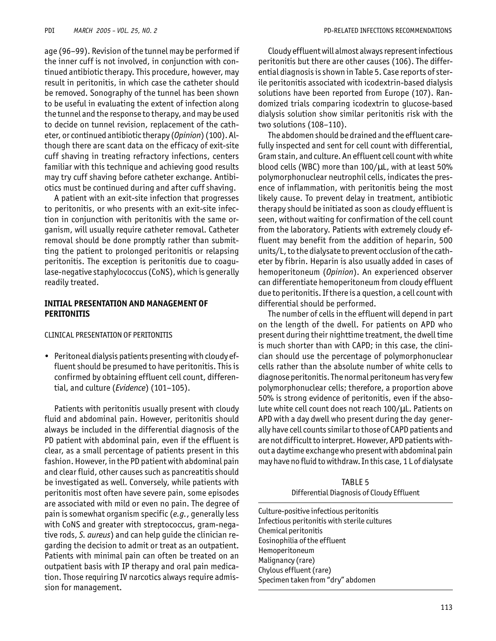age (96–99). Revision of the tunnel may be performed if the inner cuff is not involved, in conjunction with continued antibiotic therapy. This procedure, however, may result in peritonitis, in which case the catheter should be removed. Sonography of the tunnel has been shown to be useful in evaluating the extent of infection along the tunnel and the response to therapy, and may be used to decide on tunnel revision, replacement of the catheter, or continued antibiotic therapy (Opinion) (100). Although there are scant data on the efficacy of exit-site cuff shaving in treating refractory infections, centers familiar with this technique and achieving good results may try cuff shaving before catheter exchange. Antibiotics must be continued during and after cuff shaving.

A patient with an exit-site infection that progresses to peritonitis, or who presents with an exit-site infection in conjunction with peritonitis with the same organism, will usually require catheter removal. Catheter removal should be done promptly rather than submitting the patient to prolonged peritonitis or relapsing peritonitis. The exception is peritonitis due to coagulase-negative staphylococcus (CoNS), which is generally readily treated.

## INITIAL PRESENTATION AND MANAGEMENT OF **PERITONITIS**

CLINICAL PRESENTATION OF PERITONITIS

• Peritoneal dialysis patients presenting with cloudy effluent should be presumed to have peritonitis. This is confirmed by obtaining effluent cell count, differential, and culture (Evidence) (101–105).

Patients with peritonitis usually present with cloudy fluid and abdominal pain. However, peritonitis should always be included in the differential diagnosis of the PD patient with abdominal pain, even if the effluent is clear, as a small percentage of patients present in this fashion. However, in the PD patient with abdominal pain and clear fluid, other causes such as pancreatitis should be investigated as well. Conversely, while patients with peritonitis most often have severe pain, some episodes are associated with mild or even no pain. The degree of pain is somewhat organism specific (e.g., generally less with CoNS and greater with streptococcus, gram-negative rods, S. *aureus*) and can help quide the clinician regarding the decision to admit or treat as an outpatient. Patients with minimal pain can often be treated on an outpatient basis with IP therapy and oral pain medication. Those requiring IV narcotics always require admission for management.

Cloudy effluent will almost always represent infectious peritonitis but there are other causes (106). The differential diagnosis is shown in Table 5. Case reports of sterile peritonitis associated with icodextrin-based dialysis solutions have been reported from Europe (107). Randomized trials comparing icodextrin to glucose-based dialysis solution show similar peritonitis risk with the two solutions (108–110).

The abdomen should be drained and the effluent carefully inspected and sent for cell count with differential, Gram stain, and culture. An effluent cell count with white blood cells (WBC) more than  $100/\mu$ L, with at least 50% polymorphonuclear neutrophil cells, indicates the presence of inflammation, with peritonitis being the most likely cause. To prevent delay in treatment, antibiotic therapy should be initiated as soon as cloudy effluent is seen, without waiting for confirmation of the cell count from the laboratory. Patients with extremely cloudy effluent may benefit from the addition of heparin, 500 units/L, to the dialysate to prevent occlusion of the catheter by fibrin. Heparin is also usually added in cases of hemoperitoneum (Opinion). An experienced observer can differentiate hemoperitoneum from cloudy effluent due to peritonitis. If there is a question, a cell count with differential should be performed.

The number of cells in the effluent will depend in part on the length of the dwell. For patients on APD who present during their nighttime treatment, the dwell time is much shorter than with CAPD; in this case, the clinician should use the percentage of polymorphonuclear cells rather than the absolute number of white cells to diagnose peritonitis. The normal peritoneum has very few polymorphonuclear cells; therefore, a proportion above 50% is strong evidence of peritonitis, even if the absolute white cell count does not reach  $100/\mu$ L. Patients on APD with a day dwell who present during the day generally have cell counts similar to those of CAPD patients and are not difficult to interpret. However, APD patients without a daytime exchange who present with abdominal pain may have no fluid to withdraw. In this case, 1 L of dialysate

> TABLE 5 Differential Diagnosis of Cloudy Effluent

Culture-positive infectious peritonitis Infectious peritonitis with sterile cultures Chemical peritonitis Eosinophilia of the effluent Hemoperitoneum Malignancy (rare) Chylous effluent (rare) Specimen taken from "dry" abdomen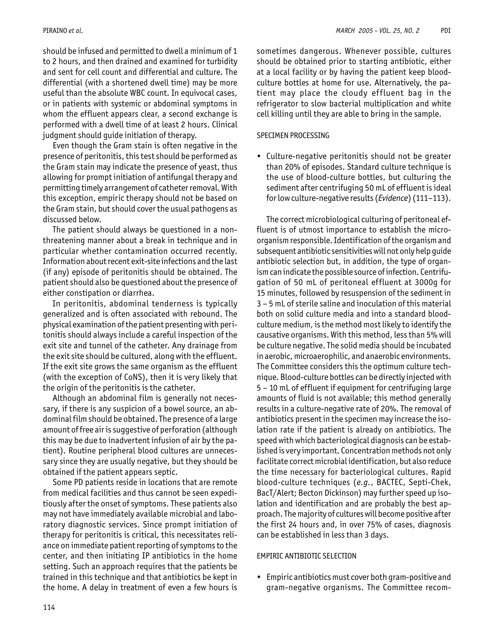should be infused and permitted to dwell a minimum of 1 to 2 hours, and then drained and examined for turbidity and sent for cell count and differential and culture. The differential (with a shortened dwell time) may be more useful than the absolute WBC count. In equivocal cases, or in patients with systemic or abdominal symptoms in whom the effluent appears clear, a second exchange is performed with a dwell time of at least 2 hours. Clinical judgment should guide initiation of therapy.

Even though the Gram stain is often negative in the presence of peritonitis, this test should be performed as the Gram stain may indicate the presence of yeast, thus allowing for prompt initiation of antifungal therapy and permitting timely arrangement of catheter removal. With this exception, empiric therapy should not be based on the Gram stain, but should cover the usual pathogens as discussed below.

The patient should always be questioned in a nonthreatening manner about a break in technique and in particular whether contamination occurred recently. Information about recent exit-site infections and the last (if any) episode of peritonitis should be obtained. The patient should also be questioned about the presence of either constipation or diarrhea.

In peritonitis, abdominal tenderness is typically generalized and is often associated with rebound. The physical examination of the patient presenting with peritonitis should always include a careful inspection of the exit site and tunnel of the catheter. Any drainage from the exit site should be cultured, along with the effluent. If the exit site grows the same organism as the effluent (with the exception of CoNS), then it is very likely that the origin of the peritonitis is the catheter.

Although an abdominal film is generally not necessary, if there is any suspicion of a bowel source, an abdominal film should be obtained. The presence of a large amount of free air is suggestive of perforation (although this may be due to inadvertent infusion of air by the patient). Routine peripheral blood cultures are unnecessary since they are usually negative, but they should be obtained if the patient appears septic.

Some PD patients reside in locations that are remote from medical facilities and thus cannot be seen expeditiously after the onset of symptoms. These patients also may not have immediately available microbial and laboratory diagnostic services. Since prompt initiation of therapy for peritonitis is critical, this necessitates reliance on immediate patient reporting of symptoms to the center, and then initiating IP antibiotics in the home setting. Such an approach requires that the patients be trained in this technique and that antibiotics be kept in the home. A delay in treatment of even a few hours is sometimes dangerous. Whenever possible, cultures should be obtained prior to starting antibiotic, either at a local facility or by having the patient keep bloodculture bottles at home for use. Alternatively, the patient may place the cloudy effluent bag in the refrigerator to slow bacterial multiplication and white cell killing until they are able to bring in the sample.

#### SPECIMEN PROCESSING

• Culture-negative peritonitis should not be greater than 20% of episodes. Standard culture technique is the use of blood-culture bottles, but culturing the sediment after centrifuging 50 mL of effluent is ideal for low culture-negative results (Evidence) (111-113).

The correct microbiological culturing of peritoneal effluent is of utmost importance to establish the microorganism responsible. Identification of the organism and subsequent antibiotic sensitivities will not only help guide antibiotic selection but, in addition, the type of organism can indicate the possible source of infection. Centrifugation of 50 mL of peritoneal effluent at 3000g for 15 minutes, followed by resuspension of the sediment in 3 – 5 mL of sterile saline and inoculation of this material both on solid culture media and into a standard bloodculture medium, is the method most likely to identify the causative organisms. With this method, less than 5% will be culture negative. The solid media should be incubated in aerobic, microaerophilic, and anaerobic environments. The Committee considers this the optimum culture technique. Blood-culture bottles can be directly injected with 5 – 10 mL of effluent if equipment for centrifuging large amounts of fluid is not available; this method generally results in a culture-negative rate of 20%. The removal of antibiotics present in the specimen may increase the isolation rate if the patient is already on antibiotics. The speed with which bacteriological diagnosis can be established is very important. Concentration methods not only facilitate correct microbial identification, but also reduce the time necessary for bacteriological cultures. Rapid blood-culture techniques (e.g., BACTEC, Septi-Chek, BacT/Alert; Becton Dickinson) may further speed up isolation and identification and are probably the best approach. The majority of cultures will become positive after the first 24 hours and, in over 75% of cases, diagnosis can be established in less than 3 days.

#### EMPIRIC ANTIBIOTIC SELECTION

• Empiric antibiotics must cover both gram-positive and gram-negative organisms. The Committee recom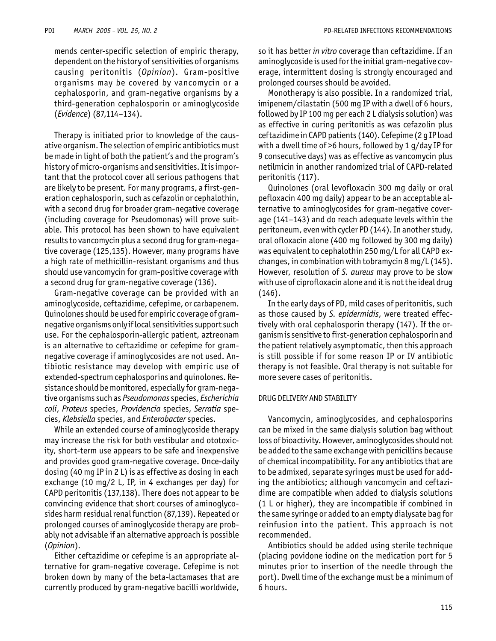mends center-specific selection of empiric therapy, dependent on the history of sensitivities of organisms causing peritonitis (Opinion). Gram-positive organisms may be covered by vancomycin or a cephalosporin, and gram-negative organisms by a third-generation cephalosporin or aminoglycoside (Evidence) (87,114–134).

Therapy is initiated prior to knowledge of the causative organism. The selection of empiric antibiotics must be made in light of both the patient's and the program's history of micro-organisms and sensitivities. It is important that the protocol cover all serious pathogens that are likely to be present. For many programs, a first-generation cephalosporin, such as cefazolin or cephalothin, with a second drug for broader gram-negative coverage (including coverage for Pseudomonas) will prove suitable. This protocol has been shown to have equivalent results to vancomycin plus a second drug for gram-negative coverage (125,135). However, many programs have a high rate of methicillin-resistant organisms and thus should use vancomycin for gram-positive coverage with a second drug for gram-negative coverage (136).

Gram-negative coverage can be provided with an aminoglycoside, ceftazidime, cefepime, or carbapenem. Quinolones should be used for empiric coverage of gramnegative organisms only if local sensitivities support such use. For the cephalosporin-allergic patient, aztreonam is an alternative to ceftazidime or cefepime for gramnegative coverage if aminoglycosides are not used. Antibiotic resistance may develop with empiric use of extended-spectrum cephalosporins and quinolones. Resistance should be monitored, especially for gram-negative organisms such as Pseudomonas species, Escherichia coli, Proteus species, Providencia species, Serratia species, Klebsiella species, and Enterobacter species.

While an extended course of aminoglycoside therapy may increase the risk for both vestibular and ototoxicity, short-term use appears to be safe and inexpensive and provides good gram-negative coverage. Once-daily dosing (40 mg IP in 2 L) is as effective as dosing in each exchange (10 mg/2 L, IP, in 4 exchanges per day) for CAPD peritonitis (137,138). There does not appear to be convincing evidence that short courses of aminoglycosides harm residual renal function (87,139). Repeated or prolonged courses of aminoglycoside therapy are probably not advisable if an alternative approach is possible (Opinion).

Either ceftazidime or cefepime is an appropriate alternative for gram-negative coverage. Cefepime is not broken down by many of the beta-lactamases that are currently produced by gram-negative bacilli worldwide,

so it has better in vitro coverage than ceftazidime. If an aminoglycoside is used for the initial gram-negative coverage, intermittent dosing is strongly encouraged and prolonged courses should be avoided.

Monotherapy is also possible. In a randomized trial, imipenem/cilastatin (500 mg IP with a dwell of 6 hours, followed by IP 100 mg per each 2 L dialysis solution) was as effective in curing peritonitis as was cefazolin plus ceftazidime in CAPD patients (140). Cefepime (2 g IP load with a dwell time of >6 hours, followed by 1 g/day IP for 9 consecutive days) was as effective as vancomycin plus netilmicin in another randomized trial of CAPD-related peritonitis (117).

Quinolones (oral levofloxacin 300 mg daily or oral pefloxacin 400 mg daily) appear to be an acceptable alternative to aminoglycosides for gram-negative coverage (141–143) and do reach adequate levels within the peritoneum, even with cycler PD (144). In another study, oral ofloxacin alone (400 mg followed by 300 mg daily) was equivalent to cephalothin 250 mg/L for all CAPD exchanges, in combination with tobramycin 8 mg/L (145). However, resolution of S. aureus may prove to be slow with use of ciprofloxacin alone and it is not the ideal drug (146).

In the early days of PD, mild cases of peritonitis, such as those caused by S. epidermidis, were treated effectively with oral cephalosporin therapy (147). If the organism is sensitive to first-generation cephalosporin and the patient relatively asymptomatic, then this approach is still possible if for some reason IP or IV antibiotic therapy is not feasible. Oral therapy is not suitable for more severe cases of peritonitis.

#### DRUG DELIVERY AND STABILITY

Vancomycin, aminoglycosides, and cephalosporins can be mixed in the same dialysis solution bag without loss of bioactivity. However, aminoglycosides should not be added to the same exchange with penicillins because of chemical incompatibility. For any antibiotics that are to be admixed, separate syringes must be used for adding the antibiotics; although vancomycin and ceftazidime are compatible when added to dialysis solutions (1 L or higher), they are incompatible if combined in the same syringe or added to an empty dialysate bag for reinfusion into the patient. This approach is not recommended.

Antibiotics should be added using sterile technique (placing povidone iodine on the medication port for 5 minutes prior to insertion of the needle through the port). Dwell time of the exchange must be a minimum of 6 hours.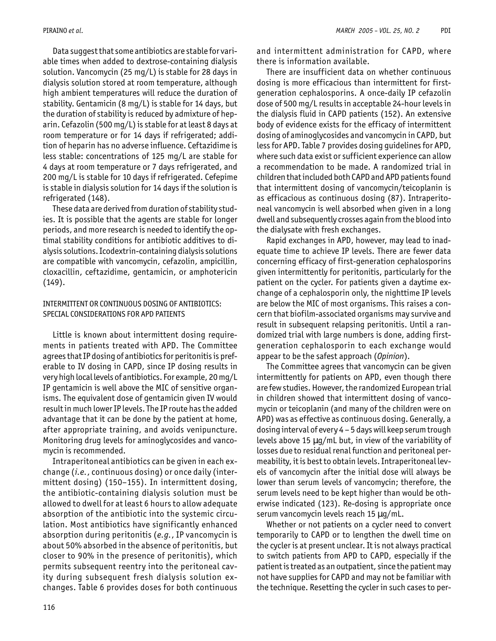Data suggest that some antibiotics are stable for variable times when added to dextrose-containing dialysis solution. Vancomycin (25 mg/L) is stable for 28 days in dialysis solution stored at room temperature, although high ambient temperatures will reduce the duration of stability. Gentamicin (8 mg/L) is stable for 14 days, but the duration of stability is reduced by admixture of heparin. Cefazolin (500 mg/L) is stable for at least 8 days at room temperature or for 14 days if refrigerated; addition of heparin has no adverse influence. Ceftazidime is less stable: concentrations of 125 mg/L are stable for 4 days at room temperature or 7 days refrigerated, and 200 mg/L is stable for 10 days if refrigerated. Cefepime is stable in dialysis solution for 14 days if the solution is refrigerated (148).

These data are derived from duration of stability studies. It is possible that the agents are stable for longer periods, and more research is needed to identify the optimal stability conditions for antibiotic additives to dialysis solutions. Icodextrin-containing dialysis solutions are compatible with vancomycin, cefazolin, ampicillin, cloxacillin, ceftazidime, gentamicin, or amphotericin (149).

## INTERMITTENT OR CONTINUOUS DOSING OF ANTIBIOTICS: SPECIAL CONSIDERATIONS FOR APD PATIENTS

Little is known about intermittent dosing requirements in patients treated with APD. The Committee agrees that IP dosing of antibiotics for peritonitis is preferable to IV dosing in CAPD, since IP dosing results in very high local levels of antibiotics. For example, 20 mg/L IP gentamicin is well above the MIC of sensitive organisms. The equivalent dose of gentamicin given IV would result in much lower IP levels. The IP route has the added advantage that it can be done by the patient at home, after appropriate training, and avoids venipuncture. Monitoring drug levels for aminoglycosides and vancomycin is recommended.

Intraperitoneal antibiotics can be given in each exchange (i.e., continuous dosing) or once daily (intermittent dosing) (150–155). In intermittent dosing, the antibiotic-containing dialysis solution must be allowed to dwell for at least 6 hours to allow adequate absorption of the antibiotic into the systemic circulation. Most antibiotics have significantly enhanced absorption during peritonitis (e.g., IP vancomycin is about 50% absorbed in the absence of peritonitis, but closer to 90% in the presence of peritonitis), which permits subsequent reentry into the peritoneal cavity during subsequent fresh dialysis solution exchanges. Table 6 provides doses for both continuous and intermittent administration for CAPD, where there is information available.

There are insufficient data on whether continuous dosing is more efficacious than intermittent for firstgeneration cephalosporins. A once-daily IP cefazolin dose of 500 mg/L results in acceptable 24-hour levels in the dialysis fluid in CAPD patients (152). An extensive body of evidence exists for the efficacy of intermittent dosing of aminoglycosides and vancomycin in CAPD, but less for APD. Table 7 provides dosing guidelines for APD, where such data exist or sufficient experience can allow a recommendation to be made. A randomized trial in children that included both CAPD and APD patients found that intermittent dosing of vancomycin/teicoplanin is as efficacious as continuous dosing (87). Intraperitoneal vancomycin is well absorbed when given in a long dwell and subsequently crosses again from the blood into the dialysate with fresh exchanges.

Rapid exchanges in APD, however, may lead to inadequate time to achieve IP levels. There are fewer data concerning efficacy of first-generation cephalosporins given intermittently for peritonitis, particularly for the patient on the cycler. For patients given a daytime exchange of a cephalosporin only, the nighttime IP levels are below the MIC of most organisms. This raises a concern that biofilm-associated organisms may survive and result in subsequent relapsing peritonitis. Until a randomized trial with large numbers is done, adding firstgeneration cephalosporin to each exchange would appear to be the safest approach (Opinion).

The Committee agrees that vancomycin can be given intermittently for patients on APD, even though there are few studies. However, the randomized European trial in children showed that intermittent dosing of vancomycin or teicoplanin (and many of the children were on APD) was as effective as continuous dosing. Generally, a dosing interval of every 4 – 5 days will keep serum trough levels above 15 µg/mL but, in view of the variability of losses due to residual renal function and peritoneal permeability, it is best to obtain levels. Intraperitoneal levels of vancomycin after the initial dose will always be lower than serum levels of vancomycin; therefore, the serum levels need to be kept higher than would be otherwise indicated (123). Re-dosing is appropriate once serum vancomycin levels reach 15 µg/mL.

Whether or not patients on a cycler need to convert temporarily to CAPD or to lengthen the dwell time on the cycler is at present unclear. It is not always practical to switch patients from APD to CAPD, especially if the patient is treated as an outpatient, since the patient may not have supplies for CAPD and may not be familiar with the technique. Resetting the cycler in such cases to per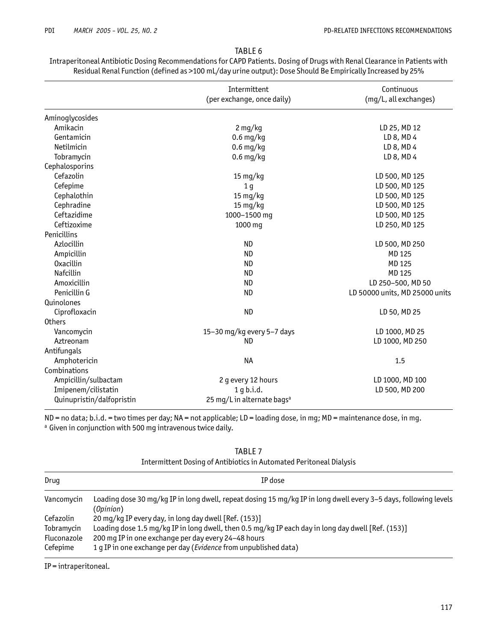TABLE 6

Intraperitoneal Antibiotic Dosing Recommendations for CAPD Patients. Dosing of Drugs with Renal Clearance in Patients with Residual Renal Function (defined as >100 mL/day urine output): Dose Should Be Empirically Increased by 25%

|                           | Intermittent<br>(per exchange, once daily) | Continuous<br>(mg/L, all exchanges) |
|---------------------------|--------------------------------------------|-------------------------------------|
|                           |                                            |                                     |
| Aminoglycosides           |                                            |                                     |
| Amikacin                  | 2 mg/kg                                    | LD 25, MD 12                        |
| Gentamicin                | $0.6$ mg/kg                                | LD 8, MD 4                          |
| Netilmicin                | $0.6$ mg/kg                                | LD 8, MD 4                          |
| Tobramycin                | $0.6$ mg/kg                                | LD 8, MD 4                          |
| Cephalosporins            |                                            |                                     |
| Cefazolin                 | 15 mg/kg                                   | LD 500, MD 125                      |
| Cefepime                  | 1 <sub>q</sub>                             | LD 500, MD 125                      |
| Cephalothin               | $15 \text{ mg/kg}$                         | LD 500, MD 125                      |
| Cephradine                | 15 mg/kg                                   | LD 500, MD 125                      |
| Ceftazidime               | 1000-1500 mg                               | LD 500, MD 125                      |
| Ceftizoxime               | 1000 mg                                    | LD 250, MD 125                      |
| Penicillins               |                                            |                                     |
| Azlocillin                | <b>ND</b>                                  | LD 500, MD 250                      |
| Ampicillin                | <b>ND</b>                                  | MD 125                              |
| <b>Oxacillin</b>          | <b>ND</b>                                  | MD 125                              |
| Nafcillin                 | <b>ND</b>                                  | MD 125                              |
| Amoxicillin               | <b>ND</b>                                  | LD 250-500, MD 50                   |
| Penicillin G              | <b>ND</b>                                  | LD 50000 units, MD 25000 units      |
| Quinolones                |                                            |                                     |
| Ciprofloxacin             | <b>ND</b>                                  | LD 50, MD 25                        |
| <b>Others</b>             |                                            |                                     |
| Vancomycin                | 15-30 mg/kg every 5-7 days                 | LD 1000, MD 25                      |
| Aztreonam                 | <b>ND</b>                                  | LD 1000, MD 250                     |
| Antifungals               |                                            |                                     |
| Amphotericin              | <b>NA</b>                                  | 1.5                                 |
| Combinations              |                                            |                                     |
| Ampicillin/sulbactam      | 2 g every 12 hours                         | LD 1000, MD 100                     |
| Imipenem/cilistatin       | 1 q b.i.d.                                 | LD 500, MD 200                      |
| Quinupristin/dalfopristin | 25 mg/L in alternate bags <sup>a</sup>     |                                     |
|                           |                                            |                                     |

ND = no data; b.i.d. = two times per day; NA = not applicable; LD = loading dose, in mg; MD = maintenance dose, in mg. <sup>a</sup> Given in conjunction with 500 mg intravenous twice daily.

| the miller boshing of Americans in Automateu Ferrestical bialysis |                                                                                                                               |  |  |  |
|-------------------------------------------------------------------|-------------------------------------------------------------------------------------------------------------------------------|--|--|--|
| Drug                                                              | IP dose                                                                                                                       |  |  |  |
| Vancomycin                                                        | Loading dose 30 mg/kg IP in long dwell, repeat dosing 15 mg/kg IP in long dwell every 3-5 days, following levels<br>(Opinion) |  |  |  |
| Cefazolin                                                         | 20 mg/kg IP every day, in long day dwell [Ref. (153)]                                                                         |  |  |  |
| Tobramycin                                                        | Loading dose 1.5 mg/kg IP in long dwell, then 0.5 mg/kg IP each day in long day dwell [Ref. (153)]                            |  |  |  |
| Fluconazole                                                       | 200 mg IP in one exchange per day every 24-48 hours                                                                           |  |  |  |
| Cefepime                                                          | 1 q IP in one exchange per day ( <i>Evidence</i> from unpublished data)                                                       |  |  |  |

TABLE 7 Intermittent Dosing of Antibiotics in Automated Peritoneal Dialysis

IP = intraperitoneal.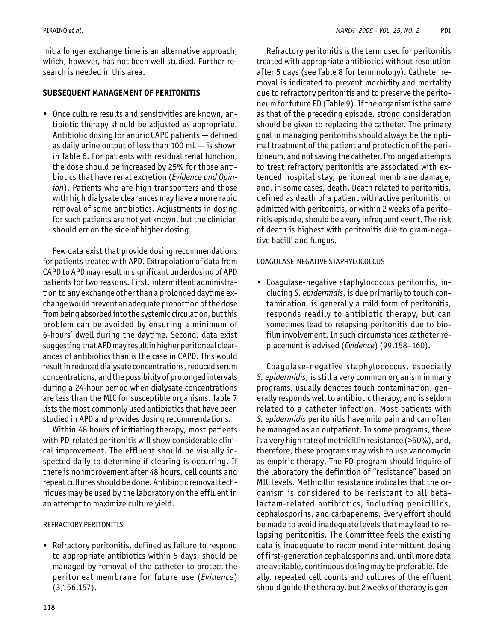mit a longer exchange time is an alternative approach, which, however, has not been well studied. Further research is needed in this area.

## SUBSEQUENT MANAGEMENT OF PERITONITIS

• Once culture results and sensitivities are known, antibiotic therapy should be adjusted as appropriate. Antibiotic dosing for anuric CAPD patients — defined as daily urine output of less than  $100$  mL  $-$  is shown in Table 6. For patients with residual renal function, the dose should be increased by 25% for those antibiotics that have renal excretion (Evidence and Opinion). Patients who are high transporters and those with high dialysate clearances may have a more rapid removal of some antibiotics. Adjustments in dosing for such patients are not yet known, but the clinician should err on the side of higher dosing.

Few data exist that provide dosing recommendations for patients treated with APD. Extrapolation of data from CAPD to APD may result in significant underdosing of APD patients for two reasons. First, intermittent administration to any exchange other than a prolonged daytime exchange would prevent an adequate proportion of the dose from being absorbed into the systemic circulation, but this problem can be avoided by ensuring a minimum of 6-hours' dwell during the daytime. Second, data exist suggesting that APD may result in higher peritoneal clearances of antibiotics than is the case in CAPD. This would result in reduced dialysate concentrations, reduced serum concentrations, and the possibility of prolonged intervals during a 24-hour period when dialysate concentrations are less than the MIC for susceptible organisms. Table 7 lists the most commonly used antibiotics that have been studied in APD and provides dosing recommendations.

Within 48 hours of initiating therapy, most patients with PD-related peritonitis will show considerable clinical improvement. The effluent should be visually inspected daily to determine if clearing is occurring. If there is no improvement after 48 hours, cell counts and repeat cultures should be done. Antibiotic removal techniques may be used by the laboratory on the effluent in an attempt to maximize culture yield.

## REFRACTORY PERITONITIS

• Refractory peritonitis, defined as failure to respond to appropriate antibiotics within 5 days, should be managed by removal of the catheter to protect the peritoneal membrane for future use (Evidence) (3,156,157).

Refractory peritonitis is the term used for peritonitis treated with appropriate antibiotics without resolution after 5 days (see Table 8 for terminology). Catheter removal is indicated to prevent morbidity and mortality due to refractory peritonitis and to preserve the peritoneum for future PD (Table 9). If the organism is the same as that of the preceding episode, strong consideration should be given to replacing the catheter. The primary goal in managing peritonitis should always be the optimal treatment of the patient and protection of the peritoneum, and not saving the catheter. Prolonged attempts to treat refractory peritonitis are associated with extended hospital stay, peritoneal membrane damage, and, in some cases, death. Death related to peritonitis, defined as death of a patient with active peritonitis, or admitted with peritonitis, or within 2 weeks of a peritonitis episode, should be a very infrequent event. The risk of death is highest with peritonitis due to gram-negative bacilli and fungus.

#### COAGULASE-NEGATIVE STAPHYLOCOCCUS

• Coagulase-negative staphylococcus peritonitis, including S. epidermidis, is due primarily to touch contamination, is generally a mild form of peritonitis, responds readily to antibiotic therapy, but can sometimes lead to relapsing peritonitis due to biofilm involvement. In such circumstances catheter replacement is advised (Evidence) (99,158–160).

Coagulase-negative staphylococcus, especially S. epidermidis, is still a very common organism in many programs, usually denotes touch contamination, generally responds well to antibiotic therapy, and is seldom related to a catheter infection. Most patients with S. epidermidis peritonitis have mild pain and can often be managed as an outpatient. In some programs, there is a very high rate of methicillin resistance (>50%), and, therefore, these programs may wish to use vancomycin as empiric therapy. The PD program should inquire of the laboratory the definition of "resistance" based on MIC levels. Methicillin resistance indicates that the organism is considered to be resistant to all betalactam-related antibiotics, including penicillins, cephalosporins, and carbapenems. Every effort should be made to avoid inadequate levels that may lead to relapsing peritonitis. The Committee feels the existing data is inadequate to recommend intermittent dosing of first-generation cephalosporins and, until more data are available, continuous dosing may be preferable. Ideally, repeated cell counts and cultures of the effluent should guide the therapy, but 2 weeks of therapy is gen-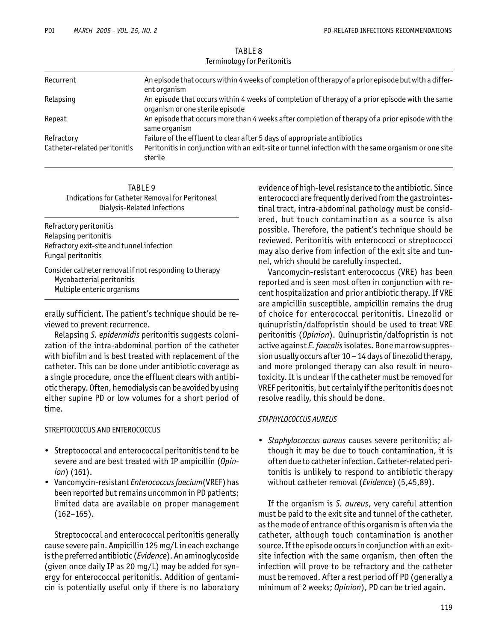| Recurrent                    | An episode that occurs within 4 weeks of completion of therapy of a prior episode but with a differ-<br>ent organism               |
|------------------------------|------------------------------------------------------------------------------------------------------------------------------------|
| Relapsing                    | An episode that occurs within 4 weeks of completion of therapy of a prior episode with the same<br>organism or one sterile episode |
| Repeat                       | An episode that occurs more than 4 weeks after completion of therapy of a prior episode with the<br>same organism                  |
| Refractory                   | Failure of the effluent to clear after 5 days of appropriate antibiotics                                                           |
| Catheter-related peritonitis | Peritonitis in conjunction with an exit-site or tunnel infection with the same organism or one site<br>sterile                     |

| TABLE 8                     |  |
|-----------------------------|--|
| Terminology for Peritonitis |  |

#### TABLE 9 Indications for Catheter Removal for Peritoneal Dialysis-Related Infections

| Refractory peritonitis                    |  |
|-------------------------------------------|--|
| Relapsing peritonitis                     |  |
| Refractory exit-site and tunnel infection |  |
| Fungal peritonitis                        |  |
|                                           |  |

Consider catheter removal if not responding to therapy Mycobacterial peritonitis Multiple enteric organisms

erally sufficient. The patient's technique should be reviewed to prevent recurrence.

Relapsing S. epidermidis peritonitis suggests colonization of the intra-abdominal portion of the catheter with biofilm and is best treated with replacement of the catheter. This can be done under antibiotic coverage as a single procedure, once the effluent clears with antibiotic therapy. Often, hemodialysis can be avoided by using either supine PD or low volumes for a short period of time.

## STREPTOCOCCUS AND ENTEROCOCCUS

- Streptococcal and enterococcal peritonitis tend to be severe and are best treated with IP ampicillin (Opinion) (161).
- Vancomycin-resistant *Enterococcus faecium* (VREF) has been reported but remains uncommon in PD patients; limited data are available on proper management  $(162-165)$ .

Streptococcal and enterococcal peritonitis generally cause severe pain. Ampicillin 125 mg/L in each exchange is the preferred antibiotic (Evidence). An aminoglycoside (given once daily IP as 20 mg/L) may be added for synergy for enterococcal peritonitis. Addition of gentamicin is potentially useful only if there is no laboratory evidence of high-level resistance to the antibiotic. Since enterococci are frequently derived from the gastrointestinal tract, intra-abdominal pathology must be considered, but touch contamination as a source is also possible. Therefore, the patient's technique should be reviewed. Peritonitis with enterococci or streptococci may also derive from infection of the exit site and tunnel, which should be carefully inspected.

Vancomycin-resistant enterococcus (VRE) has been reported and is seen most often in conjunction with recent hospitalization and prior antibiotic therapy. If VRE are ampicillin susceptible, ampicillin remains the drug of choice for enterococcal peritonitis. Linezolid or quinupristin/dalfopristin should be used to treat VRE peritonitis (Opinion). Quinupristin/dalfopristin is not active against E. faecalis isolates. Bone marrow suppression usually occurs after 10 – 14 days of linezolid therapy, and more prolonged therapy can also result in neurotoxicity. It is unclear if the catheter must be removed for VREF peritonitis, but certainly if the peritonitis does not resolve readily, this should be done.

## STAPHYLOCOCCUS AUREUS

• Staphylococcus aureus causes severe peritonitis; although it may be due to touch contamination, it is often due to catheter infection. Catheter-related peritonitis is unlikely to respond to antibiotic therapy without catheter removal (*Evidence*) (5,45,89).

If the organism is S. aureus, very careful attention must be paid to the exit site and tunnel of the catheter, as the mode of entrance of this organism is often via the catheter, although touch contamination is another source. If the episode occurs in conjunction with an exitsite infection with the same organism, then often the infection will prove to be refractory and the catheter must be removed. After a rest period off PD (generally a minimum of 2 weeks; Opinion), PD can be tried again.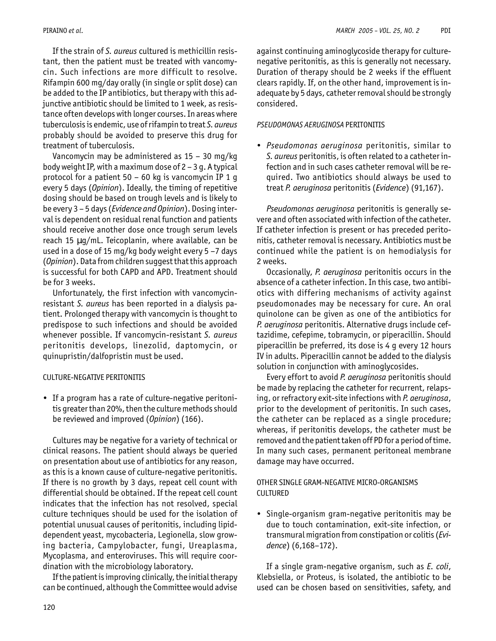If the strain of S. *aureus* cultured is methicillin resistant, then the patient must be treated with vancomycin. Such infections are more difficult to resolve. Rifampin 600 mg/day orally (in single or split dose) can be added to the IP antibiotics, but therapy with this adjunctive antibiotic should be limited to 1 week, as resistance often develops with longer courses. In areas where tuberculosis is endemic, use of rifampin to treat S. aureus probably should be avoided to preserve this drug for treatment of tuberculosis.

Vancomycin may be administered as 15 – 30 mg/kg body weight IP, with a maximum dose of 2 – 3 g. A typical protocol for a patient 50 – 60 kg is vancomycin IP 1 g every 5 days (Opinion). Ideally, the timing of repetitive dosing should be based on trough levels and is likely to be every 3 - 5 days (*Evidence and Opinion*). Dosing interval is dependent on residual renal function and patients should receive another dose once trough serum levels reach 15 µg/mL. Teicoplanin, where available, can be used in a dose of 15 mg/kg body weight every 5 –7 days (Opinion). Data from children suggest that this approach is successful for both CAPD and APD. Treatment should be for 3 weeks.

Unfortunately, the first infection with vancomycinresistant S. aureus has been reported in a dialysis patient. Prolonged therapy with vancomycin is thought to predispose to such infections and should be avoided whenever possible. If vancomycin-resistant S. aureus peritonitis develops, linezolid, daptomycin, or quinupristin/dalfopristin must be used.

## CULTURE-NEGATIVE PERITONITIS

• If a program has a rate of culture-negative peritonitis greater than 20%, then the culture methods should be reviewed and improved (Opinion) (166).

Cultures may be negative for a variety of technical or clinical reasons. The patient should always be queried on presentation about use of antibiotics for any reason, as this is a known cause of culture-negative peritonitis. If there is no growth by 3 days, repeat cell count with differential should be obtained. If the repeat cell count indicates that the infection has not resolved, special culture techniques should be used for the isolation of potential unusual causes of peritonitis, including lipiddependent yeast, mycobacteria, Legionella, slow growing bacteria, Campylobacter, fungi, Ureaplasma, Mycoplasma, and enteroviruses. This will require coordination with the microbiology laboratory.

If the patient is improving clinically, the initial therapy can be continued, although the Committee would advise against continuing aminoglycoside therapy for culturenegative peritonitis, as this is generally not necessary. Duration of therapy should be 2 weeks if the effluent clears rapidly. If, on the other hand, improvement is inadequate by 5 days, catheter removal should be strongly considered.

## PSEUDOMONAS AERUGINOSA PERITONITIS

• Pseudomonas aeruginosa peritonitis, similar to S. aureus peritonitis, is often related to a catheter infection and in such cases catheter removal will be required. Two antibiotics should always be used to treat P. aeruginosa peritonitis (Evidence) (91,167).

Pseudomonas aeruginosa peritonitis is generally severe and often associated with infection of the catheter. If catheter infection is present or has preceded peritonitis, catheter removal is necessary. Antibiotics must be continued while the patient is on hemodialysis for 2 weeks.

Occasionally, P. aeruginosa peritonitis occurs in the absence of a catheter infection. In this case, two antibiotics with differing mechanisms of activity against pseudomonades may be necessary for cure. An oral quinolone can be given as one of the antibiotics for P. aeruginosa peritonitis. Alternative drugs include ceftazidime, cefepime, tobramycin, or piperacillin. Should piperacillin be preferred, its dose is 4 g every 12 hours IV in adults. Piperacillin cannot be added to the dialysis solution in conjunction with aminoglycosides.

Every effort to avoid P. aeruginosa peritonitis should be made by replacing the catheter for recurrent, relapsing, or refractory exit-site infections with P. aeruginosa, prior to the development of peritonitis. In such cases, the catheter can be replaced as a single procedure; whereas, if peritonitis develops, the catheter must be removed and the patient taken off PD for a period of time. In many such cases, permanent peritoneal membrane damage may have occurred.

## OTHER SINGLE GRAM-NEGATIVE MICRO-ORGANISMS CULTURED

• Single-organism gram-negative peritonitis may be due to touch contamination, exit-site infection, or transmural migration from constipation or colitis (Evidence) (6,168–172).

If a single gram-negative organism, such as E. coli, Klebsiella, or Proteus, is isolated, the antibiotic to be used can be chosen based on sensitivities, safety, and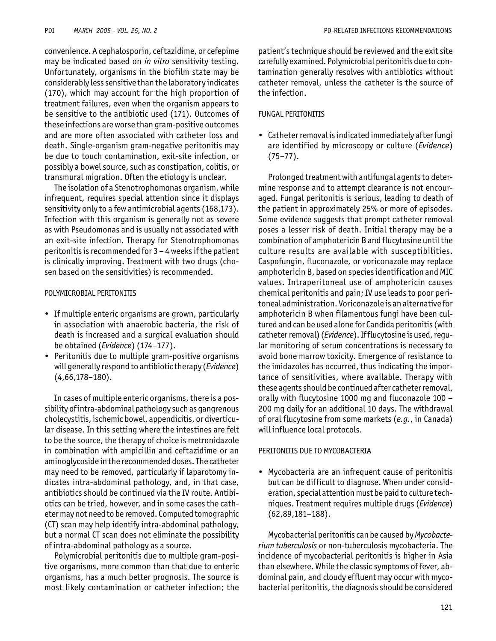convenience. A cephalosporin, ceftazidime, or cefepime may be indicated based on *in vitro* sensitivity testing. Unfortunately, organisms in the biofilm state may be considerably less sensitive than the laboratory indicates (170), which may account for the high proportion of treatment failures, even when the organism appears to be sensitive to the antibiotic used (171). Outcomes of these infections are worse than gram-positive outcomes and are more often associated with catheter loss and death. Single-organism gram-negative peritonitis may be due to touch contamination, exit-site infection, or possibly a bowel source, such as constipation, colitis, or transmural migration. Often the etiology is unclear.

The isolation of a Stenotrophomonas organism, while infrequent, requires special attention since it displays sensitivity only to a few antimicrobial agents (168,173). Infection with this organism is generally not as severe as with Pseudomonas and is usually not associated with an exit-site infection. Therapy for Stenotrophomonas peritonitis is recommended for 3 – 4 weeks if the patient is clinically improving. Treatment with two drugs (chosen based on the sensitivities) is recommended.

## POLYMICROBIAL PERITONITIS

- If multiple enteric organisms are grown, particularly in association with anaerobic bacteria, the risk of death is increased and a surgical evaluation should be obtained (Evidence) (174–177).
- Peritonitis due to multiple gram-positive organisms will generally respond to antibiotic therapy (*Evidence*) (4,66,178–180).

In cases of multiple enteric organisms, there is a possibility of intra-abdominal pathology such as gangrenous cholecystitis, ischemic bowel, appendicitis, or diverticular disease. In this setting where the intestines are felt to be the source, the therapy of choice is metronidazole in combination with ampicillin and ceftazidime or an aminoglycoside in the recommended doses. The catheter may need to be removed, particularly if laparotomy indicates intra-abdominal pathology, and, in that case, antibiotics should be continued via the IV route. Antibiotics can be tried, however, and in some cases the catheter may not need to be removed. Computed tomographic (CT) scan may help identify intra-abdominal pathology, but a normal CT scan does not eliminate the possibility of intra-abdominal pathology as a source.

Polymicrobial peritonitis due to multiple gram-positive organisms, more common than that due to enteric organisms, has a much better prognosis. The source is most likely contamination or catheter infection; the patient's technique should be reviewed and the exit site carefully examined. Polymicrobial peritonitis due to contamination generally resolves with antibiotics without catheter removal, unless the catheter is the source of the infection.

## FUNGAL PERITONITIS

• Catheter removal is indicated immediately after fungi are identified by microscopy or culture (Evidence) (75–77).

Prolonged treatment with antifungal agents to determine response and to attempt clearance is not encouraged. Fungal peritonitis is serious, leading to death of the patient in approximately 25% or more of episodes. Some evidence suggests that prompt catheter removal poses a lesser risk of death. Initial therapy may be a combination of amphotericin B and flucytosine until the culture results are available with susceptibilities. Caspofungin, fluconazole, or voriconazole may replace amphotericin B, based on species identification and MIC values. Intraperitoneal use of amphotericin causes chemical peritonitis and pain; IV use leads to poor peritoneal administration. Voriconazole is an alternative for amphotericin B when filamentous fungi have been cultured and can be used alone for Candida peritonitis (with catheter removal) (Evidence). If flucytosine is used, regular monitoring of serum concentrations is necessary to avoid bone marrow toxicity. Emergence of resistance to the imidazoles has occurred, thus indicating the importance of sensitivities, where available. Therapy with these agents should be continued after catheter removal, orally with flucytosine 1000 mg and fluconazole 100 – 200 mg daily for an additional 10 days. The withdrawal of oral flucytosine from some markets (e.g., in Canada) will influence local protocols.

## PERITONITIS DUE TO MYCOBACTERIA

• Mycobacteria are an infrequent cause of peritonitis but can be difficult to diagnose. When under consideration, special attention must be paid to culture techniques. Treatment requires multiple drugs (Evidence) (62,89,181–188).

Mycobacterial peritonitis can be caused by Mycobacterium tuberculosis or non-tuberculosis mycobacteria. The incidence of mycobacterial peritonitis is higher in Asia than elsewhere. While the classic symptoms of fever, abdominal pain, and cloudy effluent may occur with mycobacterial peritonitis, the diagnosis should be considered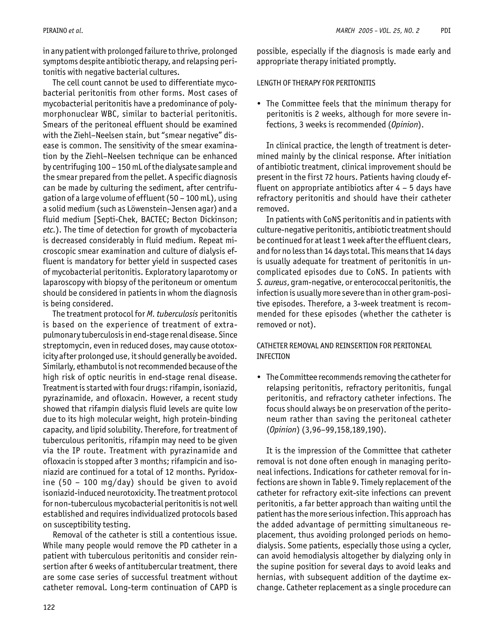in any patient with prolonged failure to thrive, prolonged symptoms despite antibiotic therapy, and relapsing peritonitis with negative bacterial cultures.

The cell count cannot be used to differentiate mycobacterial peritonitis from other forms. Most cases of mycobacterial peritonitis have a predominance of polymorphonuclear WBC, similar to bacterial peritonitis. Smears of the peritoneal effluent should be examined with the Ziehl–Neelsen stain, but "smear negative" disease is common. The sensitivity of the smear examination by the Ziehl–Neelsen technique can be enhanced by centrifuging 100 – 150 mL of the dialysate sample and the smear prepared from the pellet. A specific diagnosis can be made by culturing the sediment, after centrifugation of a large volume of effluent (50 – 100 mL), using a solid medium (such as Löwenstein–Jensen agar) and a fluid medium [Septi-Chek, BACTEC; Becton Dickinson; etc.). The time of detection for growth of mycobacteria is decreased considerably in fluid medium. Repeat microscopic smear examination and culture of dialysis effluent is mandatory for better yield in suspected cases of mycobacterial peritonitis. Exploratory laparotomy or laparoscopy with biopsy of the peritoneum or omentum should be considered in patients in whom the diagnosis is being considered.

The treatment protocol for M. tuberculosis peritonitis is based on the experience of treatment of extrapulmonary tuberculosis in end-stage renal disease. Since streptomycin, even in reduced doses, may cause ototoxicity after prolonged use, it should generally be avoided. Similarly, ethambutol is not recommended because of the high risk of optic neuritis in end-stage renal disease. Treatment is started with four drugs: rifampin, isoniazid, pyrazinamide, and ofloxacin. However, a recent study showed that rifampin dialysis fluid levels are quite low due to its high molecular weight, high protein-binding capacity, and lipid solubility. Therefore, for treatment of tuberculous peritonitis, rifampin may need to be given via the IP route. Treatment with pyrazinamide and ofloxacin is stopped after 3 months; rifampicin and isoniazid are continued for a total of 12 months. Pyridoxine (50 – 100 mg/day) should be given to avoid isoniazid-induced neurotoxicity. The treatment protocol for non-tuberculous mycobacterial peritonitis is not well established and requires individualized protocols based on susceptibility testing.

Removal of the catheter is still a contentious issue. While many people would remove the PD catheter in a patient with tuberculous peritonitis and consider reinsertion after 6 weeks of antitubercular treatment, there are some case series of successful treatment without catheter removal. Long-term continuation of CAPD is

possible, especially if the diagnosis is made early and appropriate therapy initiated promptly.

#### LENGTH OF THERAPY FOR PERITONITIS

• The Committee feels that the minimum therapy for peritonitis is 2 weeks, although for more severe infections, 3 weeks is recommended (Opinion).

In clinical practice, the length of treatment is determined mainly by the clinical response. After initiation of antibiotic treatment, clinical improvement should be present in the first 72 hours. Patients having cloudy effluent on appropriate antibiotics after  $4 - 5$  days have refractory peritonitis and should have their catheter removed.

In patients with CoNS peritonitis and in patients with culture-negative peritonitis, antibiotic treatment should be continued for at least 1 week after the effluent clears, and for no less than 14 days total. This means that 14 days is usually adequate for treatment of peritonitis in uncomplicated episodes due to CoNS. In patients with S. aureus, gram-negative, or enterococcal peritonitis, the infection is usually more severe than in other gram-positive episodes. Therefore, a 3-week treatment is recommended for these episodes (whether the catheter is removed or not).

## CATHETER REMOVAL AND REINSERTION FOR PERITONEAL INFECTION

• The Committee recommends removing the catheter for relapsing peritonitis, refractory peritonitis, fungal peritonitis, and refractory catheter infections. The focus should always be on preservation of the peritoneum rather than saving the peritoneal catheter (Opinion) (3,96–99,158,189,190).

It is the impression of the Committee that catheter removal is not done often enough in managing peritoneal infections. Indications for catheter removal for infections are shown in Table 9. Timely replacement of the catheter for refractory exit-site infections can prevent peritonitis, a far better approach than waiting until the patient has the more serious infection. This approach has the added advantage of permitting simultaneous replacement, thus avoiding prolonged periods on hemodialysis. Some patients, especially those using a cycler, can avoid hemodialysis altogether by dialyzing only in the supine position for several days to avoid leaks and hernias, with subsequent addition of the daytime exchange. Catheter replacement as a single procedure can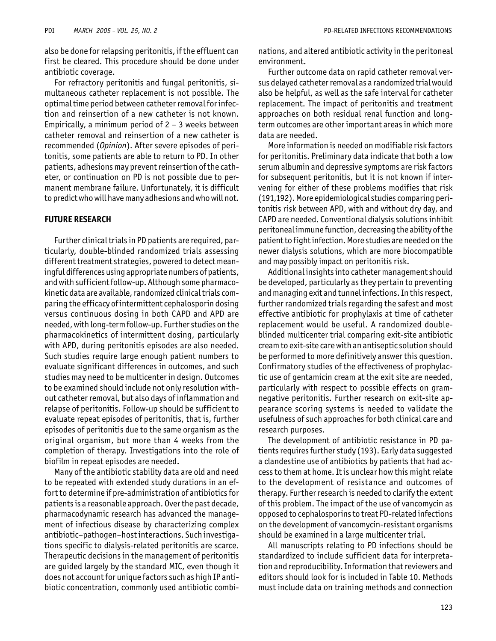also be done for relapsing peritonitis, if the effluent can first be cleared. This procedure should be done under antibiotic coverage.

For refractory peritonitis and fungal peritonitis, simultaneous catheter replacement is not possible. The optimal time period between catheter removal for infection and reinsertion of a new catheter is not known. Empirically, a minimum period of  $2 - 3$  weeks between catheter removal and reinsertion of a new catheter is recommended (Opinion). After severe episodes of peritonitis, some patients are able to return to PD. In other patients, adhesions may prevent reinsertion of the catheter, or continuation on PD is not possible due to permanent membrane failure. Unfortunately, it is difficult to predict who will have many adhesions and who will not.

#### FUTURE RESEARCH

Further clinical trials in PD patients are required, particularly, double-blinded randomized trials assessing different treatment strategies, powered to detect meaningful differences using appropriate numbers of patients, and with sufficient follow-up. Although some pharmacokinetic data are available, randomized clinical trials comparing the efficacy of intermittent cephalosporin dosing versus continuous dosing in both CAPD and APD are needed, with long-term follow-up. Further studies on the pharmacokinetics of intermittent dosing, particularly with APD, during peritonitis episodes are also needed. Such studies require large enough patient numbers to evaluate significant differences in outcomes, and such studies may need to be multicenter in design. Outcomes to be examined should include not only resolution without catheter removal, but also days of inflammation and relapse of peritonitis. Follow-up should be sufficient to evaluate repeat episodes of peritonitis, that is, further episodes of peritonitis due to the same organism as the original organism, but more than 4 weeks from the completion of therapy. Investigations into the role of biofilm in repeat episodes are needed.

Many of the antibiotic stability data are old and need to be repeated with extended study durations in an effort to determine if pre-administration of antibiotics for patients is a reasonable approach. Over the past decade, pharmacodynamic research has advanced the management of infectious disease by characterizing complex antibiotic–pathogen–host interactions. Such investigations specific to dialysis-related peritonitis are scarce. Therapeutic decisions in the management of peritonitis are guided largely by the standard MIC, even though it does not account for unique factors such as high IP antibiotic concentration, commonly used antibiotic combinations, and altered antibiotic activity in the peritoneal environment.

Further outcome data on rapid catheter removal versus delayed catheter removal as a randomized trial would also be helpful, as well as the safe interval for catheter replacement. The impact of peritonitis and treatment approaches on both residual renal function and longterm outcomes are other important areas in which more data are needed.

More information is needed on modifiable risk factors for peritonitis. Preliminary data indicate that both a low serum albumin and depressive symptoms are risk factors for subsequent peritonitis, but it is not known if intervening for either of these problems modifies that risk (191,192). More epidemiological studies comparing peritonitis risk between APD, with and without dry day, and CAPD are needed. Conventional dialysis solutions inhibit peritoneal immune function, decreasing the ability of the patient to fight infection. More studies are needed on the newer dialysis solutions, which are more biocompatible and may possibly impact on peritonitis risk.

Additional insights into catheter management should be developed, particularly as they pertain to preventing and managing exit and tunnel infections. In this respect, further randomized trials regarding the safest and most effective antibiotic for prophylaxis at time of catheter replacement would be useful. A randomized doubleblinded multicenter trial comparing exit-site antibiotic cream to exit-site care with an antiseptic solution should be performed to more definitively answer this question. Confirmatory studies of the effectiveness of prophylactic use of gentamicin cream at the exit site are needed, particularly with respect to possible effects on gramnegative peritonitis. Further research on exit-site appearance scoring systems is needed to validate the usefulness of such approaches for both clinical care and research purposes.

The development of antibiotic resistance in PD patients requires further study (193). Early data suggested a clandestine use of antibiotics by patients that had access to them at home. It is unclear how this might relate to the development of resistance and outcomes of therapy. Further research is needed to clarify the extent of this problem. The impact of the use of vancomycin as opposed to cephalosporins to treat PD-related infections on the development of vancomycin-resistant organisms should be examined in a large multicenter trial.

All manuscripts relating to PD infections should be standardized to include sufficient data for interpretation and reproducibility. Information that reviewers and editors should look for is included in Table 10. Methods must include data on training methods and connection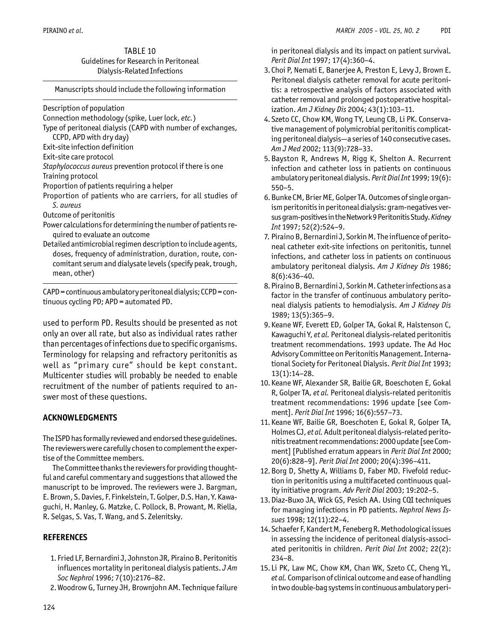#### TABLE 10 Guidelines for Research in Peritoneal Dialysis-Related Infections

Manuscripts should include the following information

Description of population

Connection methodology (spike, Luer lock, etc.)

Type of peritoneal dialysis (CAPD with number of exchanges, CCPD, APD with dry day)

Exit-site infection definition

Exit-site care protocol

Staphylococcus aureus prevention protocol if there is one

Training protocol

Proportion of patients requiring a helper

Proportion of patients who are carriers, for all studies of S. aureus

Outcome of peritonitis

- Power calculations for determining the number of patients required to evaluate an outcome
- Detailed antimicrobial regimen description to include agents, doses, frequency of administration, duration, route, concomitant serum and dialysate levels (specify peak, trough, mean, other)

CAPD = continuous ambulatory peritoneal dialysis; CCPD = continuous cycling PD; APD = automated PD.

used to perform PD. Results should be presented as not only an over all rate, but also as individual rates rather than percentages of infections due to specific organisms. Terminology for relapsing and refractory peritonitis as well as "primary cure" should be kept constant. Multicenter studies will probably be needed to enable recruitment of the number of patients required to answer most of these questions.

## ACKNOWLEDGMENTS

The ISPD has formally reviewed and endorsed these guidelines. The reviewers were carefully chosen to complement the expertise of the Committee members.

The Committee thanks the reviewers for providing thoughtful and careful commentary and suggestions that allowed the manuscript to be improved. The reviewers were J. Bargman, E. Brown, S. Davies, F. Finkelstein, T. Golper, D.S. Han, Y. Kawaguchi, H. Manley, G. Matzke, C. Pollock, B. Prowant, M. Riella, R. Selgas, S. Vas, T. Wang, and S. Zelenitsky.

## **REFERENCES**

- 1. Fried LF, Bernardini J, Johnston JR, Piraino B. Peritonitis influences mortality in peritoneal dialysis patients. J Am Soc Nephrol 1996; 7(10):2176–82.
- 2. Woodrow G, Turney JH, Brownjohn AM. Technique failure

in peritoneal dialysis and its impact on patient survival. Perit Dial Int 1997; 17(4):360–4.

- 3. Choi P, Nemati E, Banerjee A, Preston E, Levy J, Brown E. Peritoneal dialysis catheter removal for acute peritonitis: a retrospective analysis of factors associated with catheter removal and prolonged postoperative hospitalization. Am J Kidney Dis 2004; 43(1):103–11.
- 4. Szeto CC, Chow KM, Wong TY, Leung CB, Li PK. Conservative management of polymicrobial peritonitis complicating peritoneal dialysis—a series of 140 consecutive cases. Am J Med 2002; 113(9):728–33.
- 5. Bayston R, Andrews M, Rigg K, Shelton A. Recurrent infection and catheter loss in patients on continuous ambulatory peritoneal dialysis. Perit Dial Int 1999; 19(6): 550–5.
- 6. Bunke CM, Brier ME, Golper TA. Outcomes of single organism peritonitis in peritoneal dialysis: gram-negatives versus gram-positives in the Network 9 Peritonitis Study. Kidney Int 1997; 52(2):524–9.
- 7. Piraino B, Bernardini J, Sorkin M. The influence of peritoneal catheter exit-site infections on peritonitis, tunnel infections, and catheter loss in patients on continuous ambulatory peritoneal dialysis. Am J Kidney Dis 1986; 8(6):436–40.
- 8. Piraino B, Bernardini J, Sorkin M. Catheter infections as a factor in the transfer of continuous ambulatory peritoneal dialysis patients to hemodialysis. Am J Kidney Dis 1989; 13(5):365–9.
- 9. Keane WF, Everett ED, Golper TA, Gokal R, Halstenson C, Kawaguchi Y, et al. Peritoneal dialysis-related peritonitis treatment recommendations. 1993 update. The Ad Hoc Advisory Committee on Peritonitis Management. International Society for Peritoneal Dialysis. Perit Dial Int 1993; 13(1):14–28.
- 10. Keane WF, Alexander SR, Bailie GR, Boeschoten E, Gokal R, Golper TA, et al. Peritoneal dialysis-related peritonitis treatment recommendations: 1996 update [see Comment]. Perit Dial Int 1996; 16(6):557–73.
- 11. Keane WF, Bailie GR, Boeschoten E, Gokal R, Golper TA, Holmes CJ, et al. Adult peritoneal dialysis-related peritonitis treatment recommendations: 2000 update [see Comment] [Published erratum appears in Perit Dial Int 2000; 20(6):828–9]. Perit Dial Int 2000; 20(4):396–411.
- 12. Borg D, Shetty A, Williams D, Faber MD. Fivefold reduction in peritonitis using a multifaceted continuous quality initiative program. Adv Perit Dial 2003; 19:202–5.
- 13. Diaz-Buxo JA, Wick GS, Pesich AA. Using CQI techniques for managing infections in PD patients. Nephrol News Issues 1998; 12(11):22–4.
- 14. Schaefer F, Kandert M, Feneberg R. Methodological issues in assessing the incidence of peritoneal dialysis-associated peritonitis in children. Perit Dial Int 2002; 22(2): 234–8.
- 15. Li PK, Law MC, Chow KM, Chan WK, Szeto CC, Cheng YL, et al. Comparison of clinical outcome and ease of handling in two double-bag systems in continuous ambulatory peri-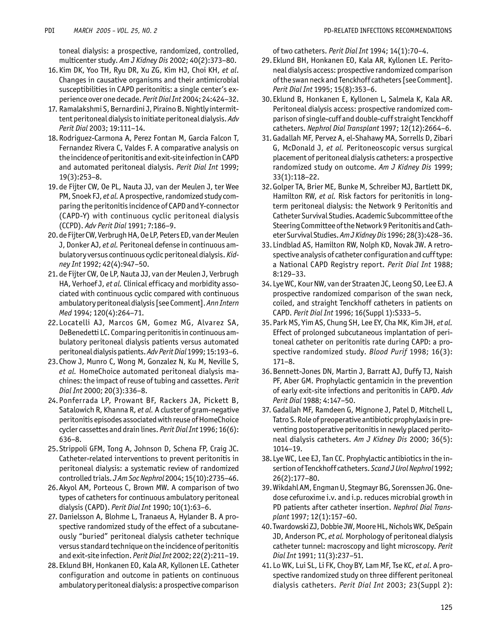toneal dialysis: a prospective, randomized, controlled, multicenter study. Am J Kidney Dis 2002; 40(2):373–80.

- 16. Kim DK, Yoo TH, Ryu DR, Xu ZG, Kim HJ, Choi KH, et al. Changes in causative organisms and their antimicrobial susceptibilities in CAPD peritonitis: a single center's experience over one decade. Perit Dial Int 2004; 24:424–32.
- 17. Ramalakshmi S, Bernardini J, Piraino B. Nightly intermittent peritoneal dialysis to initiate peritoneal dialysis. Adv Perit Dial 2003; 19:111–14.
- 18. Rodriguez-Carmona A, Perez Fontan M, Garcia Falcon T, Fernandez Rivera C, Valdes F. A comparative analysis on the incidence of peritonitis and exit-site infection in CAPD and automated peritoneal dialysis. Perit Dial Int 1999; 19(3):253–8.
- 19. de Fijter CW, Oe PL, Nauta JJ, van der Meulen J, ter Wee PM, Snoek FJ, et al. A prospective, randomized study comparing the peritonitis incidence of CAPD and Y-connector (CAPD-Y) with continuous cyclic peritoneal dialysis (CCPD). Adv Perit Dial 1991; 7:186–9.
- 20.de Fijter CW, Verbrugh HA, Oe LP, Peters ED, van der Meulen J, Donker AJ, et al. Peritoneal defense in continuous ambulatory versus continuous cyclic peritoneal dialysis. Kidney Int 1992; 42(4):947–50.
- 21. de Fijter CW, Oe LP, Nauta JJ, van der Meulen J, Verbrugh HA, Verhoef J, et al. Clinical efficacy and morbidity associated with continuous cyclic compared with continuous ambulatory peritoneal dialysis [see Comment]. Ann Intern Med 1994; 120(4):264–71.
- 22.Locatelli AJ, Marcos GM, Gomez MG, Alvarez SA, DeBenedetti LC. Comparing peritonitis in continuous ambulatory peritoneal dialysis patients versus automated peritoneal dialysis patients. Adv Perit Dial 1999; 15:193–6.
- 23.Chow J, Munro C, Wong M, Gonzalez N, Ku M, Neville S, et al. HomeChoice automated peritoneal dialysis machines: the impact of reuse of tubing and cassettes. Perit Dial Int 2000; 20(3):336–8.
- 24. Ponferrada LP, Prowant BF, Rackers JA, Pickett B, Satalowich R, Khanna R, et al. A cluster of gram-negative peritonitis episodes associated with reuse of HomeChoice cycler cassettes and drain lines. Perit Dial Int 1996; 16(6): 636–8.
- 25.Strippoli GFM, Tong A, Johnson D, Schena FP, Craig JC. Catheter-related interventions to prevent peritonitis in peritoneal dialysis: a systematic review of randomized controlled trials. J Am Soc Nephrol 2004; 15(10):2735–46.
- 26.Akyol AM, Porteous C, Brown MW. A comparison of two types of catheters for continuous ambulatory peritoneal dialysis (CAPD). Perit Dial Int 1990; 10(1):63–6.
- 27. Danielsson A, Blohme L, Tranaeus A, Hylander B. A prospective randomized study of the effect of a subcutaneously "buried" peritoneal dialysis catheter technique versus standard technique on the incidence of peritonitis and exit-site infection. Perit Dial Int 2002; 22(2):211–19.
- 28.Eklund BH, Honkanen EO, Kala AR, Kyllonen LE. Catheter configuration and outcome in patients on continuous ambulatory peritoneal dialysis: a prospective comparison

of two catheters. Perit Dial Int 1994; 14(1):70–4.

- 29.Eklund BH, Honkanen EO, Kala AR, Kyllonen LE. Peritoneal dialysis access: prospective randomized comparison of the swan neck and Tenckhoff catheters [see Comment]. Perit Dial Int 1995; 15(8):353–6.
- 30.Eklund B, Honkanen E, Kyllonen L, Salmela K, Kala AR. Peritoneal dialysis access: prospective randomized comparison of single-cuff and double-cuff straight Tenckhoff catheters. Nephrol Dial Transplant 1997; 12(12):2664–6.
- 31. Gadallah MF, Pervez A, el-Shahawy MA, Sorrells D, Zibari G, McDonald J, et al. Peritoneoscopic versus surgical placement of peritoneal dialysis catheters: a prospective randomized study on outcome. Am J Kidney Dis 1999; 33(1):118–22.
- 32.Golper TA, Brier ME, Bunke M, Schreiber MJ, Bartlett DK, Hamilton RW, et al. Risk factors for peritonitis in longterm peritoneal dialysis: the Network 9 Peritonitis and Catheter Survival Studies. Academic Subcommittee of the Steering Committee of the Network 9 Peritonitis and Catheter Survival Studies. Am J Kidney Dis 1996; 28(3):428–36.
- 33.Lindblad AS, Hamilton RW, Nolph KD, Novak JW. A retrospective analysis of catheter configuration and cuff type: a National CAPD Registry report. Perit Dial Int 1988; 8:129–33.
- 34. Lye WC, Kour NW, van der Straaten JC, Leong SO, Lee EJ. A prospective randomized comparison of the swan neck, coiled, and straight Tenckhoff catheters in patients on CAPD. Perit Dial Int 1996; 16(Suppl 1):S333–5.
- 35.Park MS, Yim AS, Chung SH, Lee EY, Cha MK, Kim JH, et al. Effect of prolonged subcutaneous implantation of peritoneal catheter on peritonitis rate during CAPD: a prospective randomized study. Blood Purif 1998; 16(3): 171–8.
- 36.Bennett-Jones DN, Martin J, Barratt AJ, Duffy TJ, Naish PF, Aber GM. Prophylactic gentamicin in the prevention of early exit-site infections and peritonitis in CAPD. Adv Perit Dial 1988; 4:147–50.
- 37. Gadallah MF, Ramdeen G, Mignone J, Patel D, Mitchell L, Tatro S. Role of preoperative antibiotic prophylaxis in preventing postoperative peritonitis in newly placed peritoneal dialysis catheters. Am J Kidney Dis 2000; 36(5): 1014–19.
- 38.Lye WC, Lee EJ, Tan CC. Prophylactic antibiotics in the insertion of Tenckhoff catheters. Scand J Urol Nephrol 1992; 26(2):177–80.
- 39.Wikdahl AM, Engman U, Stegmayr BG, Sorenssen JG. Onedose cefuroxime i.v. and i.p. reduces microbial growth in PD patients after catheter insertion. Nephrol Dial Transplant 1997; 12(1):157–60.
- 40.Twardowski ZJ, Dobbie JW, Moore HL, Nichols WK, DeSpain JD, Anderson PC, et al. Morphology of peritoneal dialysis catheter tunnel: macroscopy and light microscopy. Perit Dial Int 1991; 11(3):237–51.
- 41. Lo WK, Lui SL, Li FK, Choy BY, Lam MF, Tse KC, et al. A prospective randomized study on three different peritoneal dialysis catheters. Perit Dial Int 2003; 23(Suppl 2):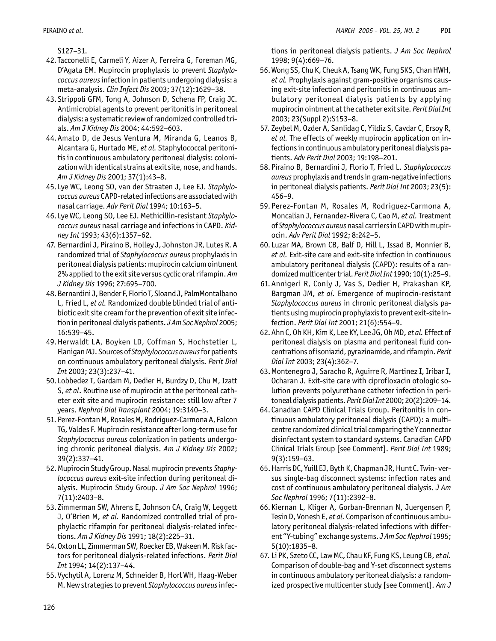S127–31.

- 42. Tacconelli E, Carmeli Y, Aizer A, Ferreira G, Foreman MG, D'Agata EM. Mupirocin prophylaxis to prevent Staphylococcus aureus infection in patients undergoing dialysis: a meta-analysis. Clin Infect Dis 2003; 37(12):1629–38.
- 43. Strippoli GFM, Tong A, Johnson D, Schena FP, Craig JC. Antimicrobial agents to prevent peritonitis in peritoneal dialysis: a systematic review of randomized controlled trials. Am J Kidney Dis 2004; 44:592–603.
- 44. Amato D, de Jesus Ventura M, Miranda G, Leanos B, Alcantara G, Hurtado ME, et al. Staphylococcal peritonitis in continuous ambulatory peritoneal dialysis: colonization with identical strains at exit site, nose, and hands. Am J Kidney Dis 2001; 37(1):43–8.
- 45. Lye WC, Leong SO, van der Straaten J, Lee EJ. Staphylococcus aureus CAPD-related infections are associated with nasal carriage. Adv Perit Dial 1994; 10:163–5.
- 46. Lye WC, Leong SO, Lee EJ. Methicillin-resistant Staphylococcus aureus nasal carriage and infections in CAPD. Kidney Int 1993; 43(6):1357–62.
- 47. Bernardini J, Piraino B, Holley J, Johnston JR, Lutes R. A randomized trial of Staphylococcus aureus prophylaxis in peritoneal dialysis patients: mupirocin calcium ointment 2% applied to the exit site versus cyclic oral rifampin. Am J Kidney Dis 1996; 27:695–700.
- 48. Bernardini J, Bender F, Florio T, Sloand J, PalmMontalbano L, Fried L, et al. Randomized double blinded trial of antibiotic exit site cream for the prevention of exit site infection in peritoneal dialysis patients. J Am Soc Nephrol 2005; 16:539–45.
- 49. Herwaldt LA, Boyken LD, Coffman S, Hochstetler L, Flanigan MJ. Sources of Staphylococcus aureus for patients on continuous ambulatory peritoneal dialysis. Perit Dial Int 2003; 23(3):237–41.
- 50. Lobbedez T, Gardam M, Dedier H, Burdzy D, Chu M, Izatt S, et al. Routine use of mupirocin at the peritoneal catheter exit site and mupirocin resistance: still low after 7 years. Nephrol Dial Transplant 2004; 19:3140–3.
- 51. Perez-Fontan M, Rosales M, Rodriguez-Carmona A, Falcon TG, Valdes F. Mupirocin resistance after long-term use for Staphylococcus aureus colonization in patients undergoing chronic peritoneal dialysis. Am J Kidney Dis 2002; 39(2):337–41.
- 52. Mupirocin Study Group. Nasal mupirocin prevents Staphylococcus aureus exit-site infection during peritoneal dialysis. Mupirocin Study Group. J Am Soc Nephrol 1996; 7(11):2403–8.
- 53. Zimmerman SW, Ahrens E, Johnson CA, Craig W, Leggett J, O'Brien M, et al. Randomized controlled trial of prophylactic rifampin for peritoneal dialysis-related infections. Am J Kidney Dis 1991; 18(2):225–31.
- 54. Oxton LL, Zimmerman SW, Roecker EB, Wakeen M. Risk factors for peritoneal dialysis-related infections. Perit Dial Int 1994; 14(2):137–44.
- 55. Vychytil A, Lorenz M, Schneider B, Horl WH, Haag-Weber M. New strategies to prevent Staphylococcus aureus infec-

tions in peritoneal dialysis patients. J Am Soc Nephrol 1998; 9(4):669–76.

- 56. Wong SS, Chu K, Cheuk A, Tsang WK, Fung SKS, Chan HWH, et al. Prophylaxis against gram-positive organisms causing exit-site infection and peritonitis in continuous ambulatory peritoneal dialysis patients by applying mupirocin ointment at the catheter exit site. Perit Dial Int 2003; 23(Suppl 2):S153–8.
- 57. Zeybel M, Ozder A, Sanlidag C, Yildiz S, Cavdar C, Ersoy R, et al. The effects of weekly mupirocin application on infections in continuous ambulatory peritoneal dialysis patients. Adv Perit Dial 2003; 19:198–201.
- 58. Piraino B, Bernardini J, Florio T, Fried L. Staphylococcus aureus prophylaxis and trends in gram-negative infections in peritoneal dialysis patients. Perit Dial Int 2003; 23(5): 456–9.
- 59. Perez-Fontan M, Rosales M, Rodriguez-Carmona A, Moncalian J, Fernandez-Rivera C, Cao M, et al. Treatment of Staphylococcus aureus nasal carriers in CAPD with mupirocin. Adv Perit Dial 1992; 8:242–5.
- 60. Luzar MA, Brown CB, Balf D, Hill L, Issad B, Monnier B, et al. Exit-site care and exit-site infection in continuous ambulatory peritoneal dialysis (CAPD): results of a randomized multicenter trial. Perit Dial Int 1990; 10(1):25–9.
- 61. Annigeri R, Conly J, Vas S, Dedier H, Prakashan KP, Bargman JM, et al. Emergence of mupirocin-resistant Staphylococcus aureus in chronic peritoneal dialysis patients using mupirocin prophylaxis to prevent exit-site infection. Perit Dial Int 2001; 21(6):554–9.
- 62. Ahn C, Oh KH, Kim K, Lee KY, Lee JG, Oh MD, et al. Effect of peritoneal dialysis on plasma and peritoneal fluid concentrations of isoniazid, pyrazinamide, and rifampin. Perit Dial Int 2003; 23(4):362–7.
- 63. Montenegro J, Saracho R, Aguirre R, Martinez I, Iribar I, Ocharan J. Exit-site care with ciprofloxacin otologic solution prevents polyurethane catheter infection in peritoneal dialysis patients. Perit Dial Int 2000; 20(2):209–14.
- 64. Canadian CAPD Clinical Trials Group. Peritonitis in continuous ambulatory peritoneal dialysis (CAPD): a multicentre randomized clinical trial comparing the Y connector disinfectant system to standard systems. Canadian CAPD Clinical Trials Group [see Comment]. Perit Dial Int 1989; 9(3):159–63.
- 65. Harris DC, Yuill EJ, Byth K, Chapman JR, Hunt C. Twin- versus single-bag disconnect systems: infection rates and cost of continuous ambulatory peritoneal dialysis. J Am Soc Nephrol 1996; 7(11):2392–8.
- 66. Kiernan L, Kliger A, Gorban-Brennan N, Juergensen P, Tesin D, Vonesh E, et al. Comparison of continuous ambulatory peritoneal dialysis-related infections with different "Y-tubing" exchange systems. J Am Soc Nephrol 1995; 5(10):1835–8.
- 67. Li PK, Szeto CC, Law MC, Chau KF, Fung KS, Leung CB, et al. Comparison of double-bag and Y-set disconnect systems in continuous ambulatory peritoneal dialysis: a randomized prospective multicenter study [see Comment]. Am J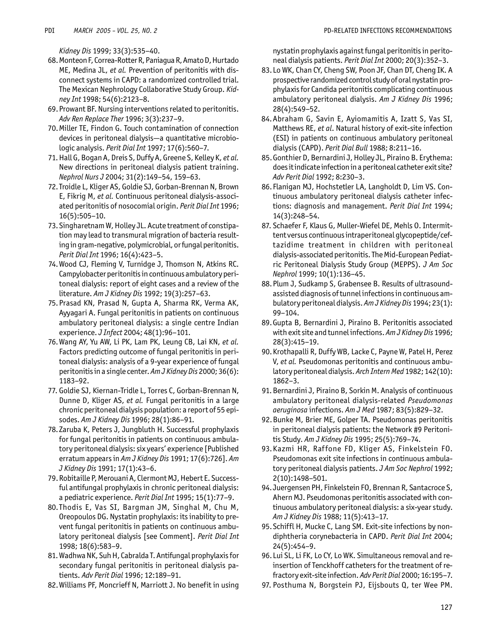Kidney Dis 1999; 33(3):535–40.

- 68.Monteon F, Correa-Rotter R, Paniagua R, Amato D, Hurtado ME, Medina JL, et al. Prevention of peritonitis with disconnect systems in CAPD: a randomized controlled trial. The Mexican Nephrology Collaborative Study Group. Kidney Int 1998; 54(6):2123–8.
- 69.Prowant BF. Nursing interventions related to peritonitis. Adv Ren Replace Ther 1996; 3(3):237–9.
- 70.Miller TE, Findon G. Touch contamination of connection devices in peritoneal dialysis—a quantitative microbiologic analysis. Perit Dial Int 1997; 17(6):560–7.
- 71. Hall G, Bogan A, Dreis S, Duffy A, Greene S, Kelley K, et al. New directions in peritoneal dialysis patient training. Nephrol Nurs J 2004; 31(2):149–54, 159–63.
- 72. Troidle L, Kliger AS, Goldie SJ, Gorban-Brennan N, Brown E, Fikrig M, et al. Continuous peritoneal dialysis-associated peritonitis of nosocomial origin. Perit Dial Int 1996; 16(5):505–10.
- 73. Singharetnam W, Holley JL. Acute treatment of constipation may lead to transmural migration of bacteria resulting in gram-negative, polymicrobial, or fungal peritonitis. Perit Dial Int 1996; 16(4):423–5.
- 74. Wood CJ, Fleming V, Turnidge J, Thomson N, Atkins RC. Campylobacter peritonitis in continuous ambulatory peritoneal dialysis: report of eight cases and a review of the literature. Am J Kidney Dis 1992; 19(3):257–63.
- 75. Prasad KN, Prasad N, Gupta A, Sharma RK, Verma AK, Ayyagari A. Fungal peritonitis in patients on continuous ambulatory peritoneal dialysis: a single centre Indian experience. J Infect 2004; 48(1):96–101.
- 76. Wang AY, Yu AW, Li PK, Lam PK, Leung CB, Lai KN, et al. Factors predicting outcome of fungal peritonitis in peritoneal dialysis: analysis of a 9-year experience of fungal peritonitis in a single center. Am J Kidney Dis 2000; 36(6): 1183–92.
- 77. Goldie SJ, Kiernan-Tridle L, Torres C, Gorban-Brennan N, Dunne D, Kliger AS, et al. Fungal peritonitis in a large chronic peritoneal dialysis population: a report of 55 episodes. Am J Kidney Dis 1996; 28(1):86–91.
- 78. Zaruba K, Peters J, Jungbluth H. Successful prophylaxis for fungal peritonitis in patients on continuous ambulatory peritoneal dialysis: six years' experience [Published erratum appears in Am J Kidney Dis 1991; 17(6):726]. Am J Kidney Dis 1991; 17(1):43–6.
- 79.Robitaille P, Merouani A, Clermont MJ, Hebert E. Successful antifungal prophylaxis in chronic peritoneal dialysis: a pediatric experience. Perit Dial Int 1995; 15(1):77–9.
- 80.Thodis E, Vas SI, Bargman JM, Singhal M, Chu M, Oreopoulos DG. Nystatin prophylaxis: its inability to prevent fungal peritonitis in patients on continuous ambulatory peritoneal dialysis [see Comment]. Perit Dial Int 1998; 18(6):583–9.
- 81. Wadhwa NK, Suh H, Cabralda T. Antifungal prophylaxis for secondary fungal peritonitis in peritoneal dialysis patients. Adv Perit Dial 1996; 12:189–91.
- 82.Williams PF, Moncrieff N, Marriott J. No benefit in using

nystatin prophylaxis against fungal peritonitis in peritoneal dialysis patients. Perit Dial Int 2000; 20(3):352–3.

- 83.Lo WK, Chan CY, Cheng SW, Poon JF, Chan DT, Cheng IK. A prospective randomized control study of oral nystatin prophylaxis for Candida peritonitis complicating continuous ambulatory peritoneal dialysis. Am J Kidney Dis 1996; 28(4):549–52.
- 84. Abraham G, Savin E, Ayiomamitis A, Izatt S, Vas SI, Matthews RE, et al. Natural history of exit-site infection (ESI) in patients on continuous ambulatory peritoneal dialysis (CAPD). Perit Dial Bull 1988; 8:211–16.
- 85.Gonthier D, Bernardini J, Holley JL, Piraino B. Erythema: does it indicate infection in a peritoneal catheter exit site? Adv Perit Dial 1992; 8:230–3.
- 86.Flanigan MJ, Hochstetler LA, Langholdt D, Lim VS. Continuous ambulatory peritoneal dialysis catheter infections: diagnosis and management. Perit Dial Int 1994; 14(3):248–54.
- 87. Schaefer F, Klaus G, Muller-Wiefel DE, Mehls O. Intermittent versus continuous intraperitoneal glycopeptide/ceftazidime treatment in children with peritoneal dialysis-associated peritonitis. The Mid-European Pediatric Peritoneal Dialysis Study Group (MEPPS). J Am Soc Nephrol 1999; 10(1):136–45.
- 88.Plum J, Sudkamp S, Grabensee B. Results of ultrasoundassisted diagnosis of tunnel infections in continuous ambulatory peritoneal dialysis. Am J Kidney Dis 1994; 23(1): 99–104.
- 89.Gupta B, Bernardini J, Piraino B. Peritonitis associated with exit site and tunnel infections. Am J Kidney Dis 1996; 28(3):415–19.
- 90.Krothapalli R, Duffy WB, Lacke C, Payne W, Patel H, Perez V, et al. Pseudomonas peritonitis and continuous ambulatory peritoneal dialysis. Arch Intern Med 1982; 142(10): 1862–3.
- 91. Bernardini J, Piraino B, Sorkin M. Analysis of continuous ambulatory peritoneal dialysis-related Pseudomonas aeruginosa infections. Am J Med 1987; 83(5):829–32.
- 92.Bunke M, Brier ME, Golper TA. Pseudomonas peritonitis in peritoneal dialysis patients: the Network #9 Peritonitis Study. Am J Kidney Dis 1995; 25(5):769–74.
- 93. Kazmi HR, Raffone FD, Kliger AS, Finkelstein FO. Pseudomonas exit site infections in continuous ambulatory peritoneal dialysis patients. J Am Soc Nephrol 1992; 2(10):1498–501.
- 94. Juergensen PH, Finkelstein FO, Brennan R, Santacroce S, Ahern MJ. Pseudomonas peritonitis associated with continuous ambulatory peritoneal dialysis: a six-year study. Am J Kidney Dis 1988; 11(5):413–17.
- 95.Schiffl H, Mucke C, Lang SM. Exit-site infections by nondiphtheria corynebacteria in CAPD. Perit Dial Int 2004; 24(5):454–9.
- 96.Lui SL, Li FK, Lo CY, Lo WK. Simultaneous removal and reinsertion of Tenckhoff catheters for the treatment of refractory exit-site infection. Adv Perit Dial 2000; 16:195–7.
- 97. Posthuma N, Borgstein PJ, Eijsbouts Q, ter Wee PM.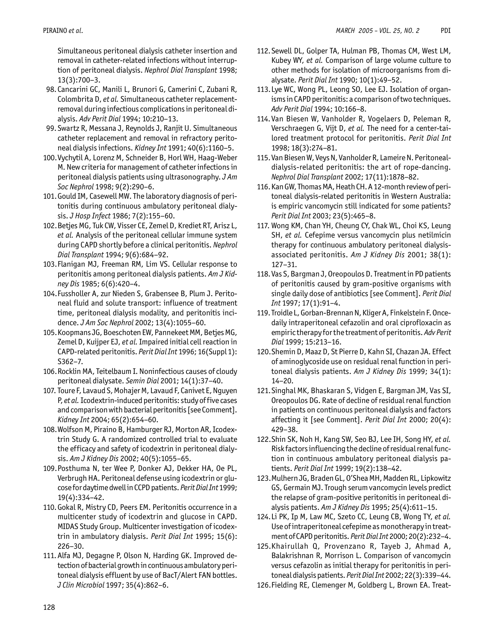Simultaneous peritoneal dialysis catheter insertion and removal in catheter-related infections without interruption of peritoneal dialysis. Nephrol Dial Transplant 1998; 13(3):700–3.

- 98. Cancarini GC, Manili L, Brunori G, Camerini C, Zubani R, Colombrita D, et al. Simultaneous catheter replacementremoval during infectious complications in peritoneal dialysis. Adv Perit Dial 1994; 10:210–13.
- 99. Swartz R, Messana J, Reynolds J, Ranjit U. Simultaneous catheter replacement and removal in refractory peritoneal dialysis infections. Kidney Int 1991; 40(6):1160-5.
- 100.Vychytil A, Lorenz M, Schneider B, Horl WH, Haag-Weber M. New criteria for management of catheter infections in peritoneal dialysis patients using ultrasonography. J Am Soc Nephrol 1998; 9(2):290–6.
- 101.Gould IM, Casewell MW. The laboratory diagnosis of peritonitis during continuous ambulatory peritoneal dialysis. J Hosp Infect 1986; 7(2):155–60.
- 102.Betjes MG, Tuk CW, Visser CE, Zemel D, Krediet RT, Arisz L, et al. Analysis of the peritoneal cellular immune system during CAPD shortly before a clinical peritonitis. Nephrol Dial Transplant 1994; 9(6):684–92.
- 103.Flanigan MJ, Freeman RM, Lim VS. Cellular response to peritonitis among peritoneal dialysis patients. Am J Kidney Dis 1985; 6(6):420–4.
- 104.Fussholler A, zur Nieden S, Grabensee B, Plum J. Peritoneal fluid and solute transport: influence of treatment time, peritoneal dialysis modality, and peritonitis incidence. J Am Soc Nephrol 2002; 13(4):1055–60.
- 105.Koopmans JG, Boeschoten EW, Pannekeet MM, Betjes MG, Zemel D, Kuijper EJ, et al. Impaired initial cell reaction in CAPD-related peritonitis. Perit Dial Int 1996; 16(Suppl 1): S362–7.
- 106.Rocklin MA, Teitelbaum I. Noninfectious causes of cloudy peritoneal dialysate. Semin Dial 2001; 14(1):37–40.
- 107. Toure F, Lavaud S, Mohajer M, Lavaud F, Canivet E, Nguyen P, et al. Icodextrin-induced peritonitis: study of five cases and comparison with bacterial peritonitis [see Comment]. Kidney Int 2004; 65(2):654–60.
- 108.Wolfson M, Piraino B, Hamburger RJ, Morton AR, Icodextrin Study G. A randomized controlled trial to evaluate the efficacy and safety of icodextrin in peritoneal dialysis. Am J Kidney Dis 2002; 40(5):1055–65.
- 109.Posthuma N, ter Wee P, Donker AJ, Dekker HA, Oe PL, Verbrugh HA. Peritoneal defense using icodextrin or glucose for daytime dwell in CCPD patients. Perit Dial Int 1999; 19(4):334–42.
- 110.Gokal R, Mistry CD, Peers EM. Peritonitis occurrence in a multicenter study of icodextrin and glucose in CAPD. MIDAS Study Group. Multicenter investigation of icodextrin in ambulatory dialysis. Perit Dial Int 1995; 15(6): 226–30.
- 111. Alfa MJ, Degagne P, Olson N, Harding GK. Improved detection of bacterial growth in continuous ambulatory peritoneal dialysis effluent by use of BacT/Alert FAN bottles. J Clin Microbiol 1997; 35(4):862–6.
- 112.Sewell DL, Golper TA, Hulman PB, Thomas CM, West LM, Kubey WY, et al. Comparison of large volume culture to other methods for isolation of microorganisms from dialysate. Perit Dial Int 1990; 10(1):49–52.
- 113.Lye WC, Wong PL, Leong SO, Lee EJ. Isolation of organisms in CAPD peritonitis: a comparison of two techniques. Adv Perit Dial 1994; 10:166–8.
- 114.Van Biesen W, Vanholder R, Vogelaers D, Peleman R, Verschraegen G, Vijt D, et al. The need for a center-tailored treatment protocol for peritonitis. Perit Dial Int 1998; 18(3):274–81.
- 115.Van Biesen W, Veys N, Vanholder R, Lameire N. Peritonealdialysis-related peritonitis: the art of rope-dancing. Nephrol Dial Transplant 2002; 17(11):1878–82.
- 116.Kan GW, Thomas MA, Heath CH. A 12-month review of peritoneal dialysis-related peritonitis in Western Australia: is empiric vancomycin still indicated for some patients? Perit Dial Int 2003; 23(5):465–8.
- 117. Wong KM, Chan YH, Cheung CY, Chak WL, Choi KS, Leung SH, et al. Cefepime versus vancomycin plus netilmicin therapy for continuous ambulatory peritoneal dialysisassociated peritonitis. Am J Kidney Dis 2001; 38(1): 127–31.
- 118.Vas S, Bargman J, Oreopoulos D. Treatment in PD patients of peritonitis caused by gram-positive organisms with single daily dose of antibiotics [see Comment]. Perit Dial Int 1997; 17(1):91–4.
- 119.Troidle L, Gorban-Brennan N, Kliger A, Finkelstein F. Oncedaily intraperitoneal cefazolin and oral ciprofloxacin as empiric therapy for the treatment of peritonitis. Adv Perit Dial 1999; 15:213–16.
- 120.Shemin D, Maaz D, St Pierre D, Kahn SI, Chazan JA. Effect of aminoglycoside use on residual renal function in peritoneal dialysis patients. Am J Kidney Dis 1999; 34(1): 14–20.
- 121.Singhal MK, Bhaskaran S, Vidgen E, Bargman JM, Vas SI, Oreopoulos DG. Rate of decline of residual renal function in patients on continuous peritoneal dialysis and factors affecting it [see Comment]. Perit Dial Int 2000; 20(4): 429–38.
- 122.Shin SK, Noh H, Kang SW, Seo BJ, Lee IH, Song HY, et al. Risk factors influencing the decline of residual renal function in continuous ambulatory peritoneal dialysis patients. Perit Dial Int 1999; 19(2):138–42.
- 123.Mulhern JG, Braden GL, O'Shea MH, Madden RL, Lipkowitz GS, Germain MJ. Trough serum vancomycin levels predict the relapse of gram-positive peritonitis in peritoneal dialysis patients. Am J Kidney Dis 1995; 25(4):611–15.
- 124. Li PK, Ip M, Law MC, Szeto CC, Leung CB, Wong TY, et al. Use of intraperitoneal cefepime as monotherapy in treatment of CAPD peritonitis. Perit Dial Int 2000; 20(2):232–4.
- 125.Khairullah Q, Provenzano R, Tayeb J, Ahmad A, Balakrishnan R, Morrison L. Comparison of vancomycin versus cefazolin as initial therapy for peritonitis in peritoneal dialysis patients. Perit Dial Int 2002; 22(3):339–44.
- 126.Fielding RE, Clemenger M, Goldberg L, Brown EA. Treat-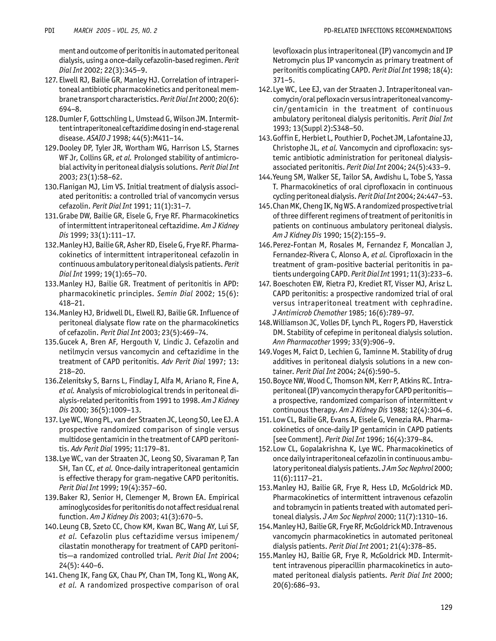ment and outcome of peritonitis in automated peritoneal dialysis, using a once-daily cefazolin-based regimen. Perit Dial Int 2002; 22(3):345–9.

- 127. Elwell RJ, Bailie GR, Manley HJ. Correlation of intraperitoneal antibiotic pharmacokinetics and peritoneal membrane transport characteristics. Perit Dial Int 2000; 20(6): 694–8.
- 128.Dumler F, Gottschling L, Umstead G, Wilson JM. Intermittent intraperitoneal ceftazidime dosing in end-stage renal disease. ASAIO J 1998; 44(5):M411–14.
- 129.Dooley DP, Tyler JR, Wortham WG, Harrison LS, Starnes WF Jr, Collins GR, et al. Prolonged stability of antimicrobial activity in peritoneal dialysis solutions. Perit Dial Int 2003; 23(1):58–62.
- 130.Flanigan MJ, Lim VS. Initial treatment of dialysis associated peritonitis: a controlled trial of vancomycin versus cefazolin. Perit Dial Int 1991; 11(1):31–7.
- 131.Grabe DW, Bailie GR, Eisele G, Frye RF. Pharmacokinetics of intermittent intraperitoneal ceftazidime. Am J Kidney Dis 1999; 33(1):111–17.
- 132.Manley HJ, Bailie GR, Asher RD, Eisele G, Frye RF. Pharmacokinetics of intermittent intraperitoneal cefazolin in continuous ambulatory peritoneal dialysis patients. Perit Dial Int 1999; 19(1):65–70.
- 133.Manley HJ, Bailie GR. Treatment of peritonitis in APD: pharmacokinetic principles. Semin Dial 2002; 15(6): 418–21.
- 134.Manley HJ, Bridwell DL, Elwell RJ, Bailie GR. Influence of peritoneal dialysate flow rate on the pharmacokinetics of cefazolin. Perit Dial Int 2003; 23(5):469–74.
- 135.Gucek A, Bren AF, Hergouth V, Lindic J. Cefazolin and netilmycin versus vancomycin and ceftazidime in the treatment of CAPD peritonitis. Adv Perit Dial 1997; 13: 218–20.
- 136.Zelenitsky S, Barns L, Findlay I, Alfa M, Ariano R, Fine A, et al. Analysis of microbiological trends in peritoneal dialysis-related peritonitis from 1991 to 1998. Am J Kidney Dis 2000; 36(5):1009–13.
- 137. Lye WC, Wong PL, van der Straaten JC, Leong SO, Lee EJ. A prospective randomized comparison of single versus multidose gentamicin in the treatment of CAPD peritonitis. Adv Perit Dial 1995; 11:179–81.
- 138.Lye WC, van der Straaten JC, Leong SO, Sivaraman P, Tan SH, Tan CC, et al. Once-daily intraperitoneal gentamicin is effective therapy for gram-negative CAPD peritonitis. Perit Dial Int 1999; 19(4):357–60.
- 139.Baker RJ, Senior H, Clemenger M, Brown EA. Empirical aminoglycosides for peritonitis do not affect residual renal function. Am J Kidney Dis 2003; 41(3):670–5.
- 140.Leung CB, Szeto CC, Chow KM, Kwan BC, Wang AY, Lui SF, et al. Cefazolin plus ceftazidime versus imipenem/ cilastatin monotherapy for treatment of CAPD peritonitis—a randomized controlled trial. Perit Dial Int 2004; 24(5): 440–6.
- 141. Cheng IK, Fang GX, Chau PY, Chan TM, Tong KL, Wong AK, et al. A randomized prospective comparison of oral

levofloxacin plus intraperitoneal (IP) vancomycin and IP Netromycin plus IP vancomycin as primary treatment of peritonitis complicating CAPD. Perit Dial Int 1998; 18(4): 371–5.

- 142.Lye WC, Lee EJ, van der Straaten J. Intraperitoneal vancomycin/oral pefloxacin versus intraperitoneal vancomycin/gentamicin in the treatment of continuous ambulatory peritoneal dialysis peritonitis. Perit Dial Int 1993; 13(Suppl 2):S348–50.
- 143.Goffin E, Herbiet L, Pouthier D, Pochet JM, Lafontaine JJ, Christophe JL, et al. Vancomycin and ciprofloxacin: systemic antibiotic administration for peritoneal dialysisassociated peritonitis. Perit Dial Int 2004; 24(5):433–9.
- 144.Yeung SM, Walker SE, Tailor SA, Awdishu L, Tobe S, Yassa T. Pharmacokinetics of oral ciprofloxacin in continuous cycling peritoneal dialysis. Perit Dial Int 2004; 24:447–53.
- 145.Chan MK, Cheng IK, Ng WS. A randomized prospective trial of three different regimens of treatment of peritonitis in patients on continuous ambulatory peritoneal dialysis. Am J Kidney Dis 1990; 15(2):155–9.
- 146.Perez-Fontan M, Rosales M, Fernandez F, Moncalian J, Fernandez-Rivera C, Alonso A, et al. Ciprofloxacin in the treatment of gram-positive bacterial peritonitis in patients undergoing CAPD. Perit Dial Int 1991; 11(3):233–6.
- 147. Boeschoten EW, Rietra PJ, Krediet RT, Visser MJ, Arisz L. CAPD peritonitis: a prospective randomized trial of oral versus intraperitoneal treatment with cephradine. J Antimicrob Chemother 1985; 16(6):789–97.
- 148.Williamson JC, Volles DF, Lynch PL, Rogers PD, Haverstick DM. Stability of cefepime in peritoneal dialysis solution. Ann Pharmacother 1999; 33(9):906–9.
- 149.Voges M, Faict D, Lechien G, Taminne M. Stability of drug additives in peritoneal dialysis solutions in a new container. Perit Dial Int 2004; 24(6):590–5.
- 150.Boyce NW, Wood C, Thomson NM, Kerr P, Atkins RC. Intraperitoneal (IP) vancomycin therapy for CAPD peritonitis a prospective, randomized comparison of intermittent v continuous therapy. Am J Kidney Dis 1988; 12(4):304-6.
- 151.Low CL, Bailie GR, Evans A, Eisele G, Venezia RA. Pharmacokinetics of once-daily IP gentamicin in CAPD patients [see Comment]. Perit Dial Int 1996; 16(4):379–84.
- 152.Low CL, Gopalakrishna K, Lye WC. Pharmacokinetics of once daily intraperitoneal cefazolin in continuous ambulatory peritoneal dialysis patients. J Am Soc Nephrol 2000; 11(6):1117–21.
- 153.Manley HJ, Bailie GR, Frye R, Hess LD, McGoldrick MD. Pharmacokinetics of intermittent intravenous cefazolin and tobramycin in patients treated with automated peritoneal dialysis. J Am Soc Nephrol 2000; 11(7):1310–16.
- 154.Manley HJ, Bailie GR, Frye RF, McGoldrick MD. Intravenous vancomycin pharmacokinetics in automated peritoneal dialysis patients. Perit Dial Int 2001; 21(4):378–85.
- 155.Manley HJ, Bailie GR, Frye R, McGoldrick MD. Intermittent intravenous piperacillin pharmacokinetics in automated peritoneal dialysis patients. Perit Dial Int 2000; 20(6):686–93.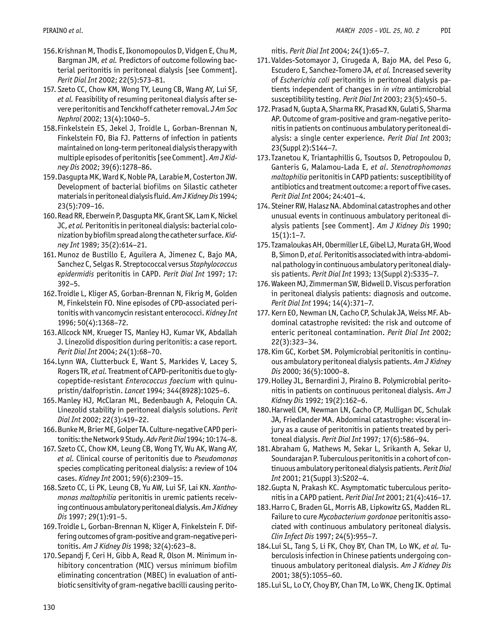- 156.Krishnan M, Thodis E, Ikonomopoulos D, Vidgen E, Chu M, Bargman JM, et al. Predictors of outcome following bacterial peritonitis in peritoneal dialysis [see Comment]. Perit Dial Int 2002; 22(5):573–81.
- 157. Szeto CC, Chow KM, Wong TY, Leung CB, Wang AY, Lui SF, et al. Feasibility of resuming peritoneal dialysis after severe peritonitis and Tenckhoff catheter removal. J Am Soc Nephrol 2002; 13(4):1040–5.
- 158.Finkelstein ES, Jekel J, Troidle L, Gorban-Brennan N, Finkelstein FO, Bia FJ. Patterns of infection in patients maintained on long-term peritoneal dialysis therapy with multiple episodes of peritonitis [see Comment]. Am J Kidney Dis 2002; 39(6):1278–86.
- 159.Dasgupta MK, Ward K, Noble PA, Larabie M, Costerton JW. Development of bacterial biofilms on Silastic catheter materials in peritoneal dialysis fluid. Am J Kidney Dis 1994; 23(5):709–16.
- 160.Read RR, Eberwein P, Dasgupta MK, Grant SK, Lam K, Nickel JC, et al. Peritonitis in peritoneal dialysis: bacterial colonization by biofilm spread along the catheter surface. Kidney Int 1989; 35(2):614–21.
- 161. Munoz de Bustillo E, Aguilera A, Jimenez C, Bajo MA, Sanchez C, Selgas R. Streptococcal versus Staphylococcus epidermidis peritonitis in CAPD. Perit Dial Int 1997; 17: 392–5.
- 162.Troidle L, Kliger AS, Gorban-Brennan N, Fikrig M, Golden M, Finkelstein FO. Nine episodes of CPD-associated peritonitis with vancomycin resistant enterococci. Kidney Int 1996; 50(4):1368–72.
- 163.Allcock NM, Krueger TS, Manley HJ, Kumar VK, Abdallah J. Linezolid disposition during peritonitis: a case report. Perit Dial Int 2004; 24(1):68–70.
- 164.Lynn WA, Clutterbuck E, Want S, Markides V, Lacey S, Rogers TR, et al. Treatment of CAPD-peritonitis due to glycopeptide-resistant Enterococcus faecium with quinupristin/dalfopristin. Lancet 1994; 344(8928):1025–6.
- 165.Manley HJ, McClaran ML, Bedenbaugh A, Peloquin CA. Linezolid stability in peritoneal dialysis solutions. Perit Dial Int 2002; 22(3):419–22.
- 166.Bunke M, Brier ME, Golper TA. Culture-negative CAPD peritonitis: the Network 9 Study. Adv Perit Dial 1994; 10:174–8.
- 167. Szeto CC, Chow KM, Leung CB, Wong TY, Wu AK, Wang AY, et al. Clinical course of peritonitis due to Pseudomonas species complicating peritoneal dialysis: a review of 104 cases. Kidney Int 2001; 59(6):2309–15.
- 168. Szeto CC, Li PK, Leung CB, Yu AW, Lui SF, Lai KN. Xanthomonas maltophilia peritonitis in uremic patients receiving continuous ambulatory peritoneal dialysis. Am J Kidney Dis 1997; 29(1):91–5.
- 169.Troidle L, Gorban-Brennan N, Kliger A, Finkelstein F. Differing outcomes of gram-positive and gram-negative peritonitis. Am J Kidney Dis 1998; 32(4):623–8.
- 170.Sepandj F, Ceri H, Gibb A, Read R, Olson M. Minimum inhibitory concentration (MIC) versus minimum biofilm eliminating concentration (MBEC) in evaluation of antibiotic sensitivity of gram-negative bacilli causing perito-

nitis. Perit Dial Int 2004; 24(1):65–7.

- 171.Valdes-Sotomayor J, Cirugeda A, Bajo MA, del Peso G, Escudero E, Sanchez-Tomero JA, et al. Increased severity of Escherichia coli peritonitis in peritoneal dialysis patients independent of changes in in vitro antimicrobial susceptibility testing. Perit Dial Int 2003; 23(5):450–5.
- 172.Prasad N, Gupta A, Sharma RK, Prasad KN, Gulati S, Sharma AP. Outcome of gram-positive and gram-negative peritonitis in patients on continuous ambulatory peritoneal dialysis: a single center experience. Perit Dial Int 2003; 23(Suppl 2):S144–7.
- 173.Tzanetou K, Triantaphillis G, Tsoutsos D, Petropoulou D, Ganteris G, Malamou-Lada E, et al. Stenotrophomonas maltophilia peritonitis in CAPD patients: susceptibility of antibiotics and treatment outcome: a report of five cases. Perit Dial Int 2004; 24:401–4.
- 174. Steiner RW, Halasz NA. Abdominal catastrophes and other unusual events in continuous ambulatory peritoneal dialysis patients [see Comment]. Am J Kidney Dis 1990;  $15(1):1-7.$
- 175.Tzamaloukas AH, Obermiller LE, Gibel LJ, Murata GH, Wood B, Simon D, et al. Peritonitis associated with intra-abdominal pathology in continuous ambulatory peritoneal dialysis patients. Perit Dial Int 1993; 13(Suppl 2):S335–7.
- 176. Wakeen MJ, Zimmerman SW, Bidwell D. Viscus perforation in peritoneal dialysis patients: diagnosis and outcome. Perit Dial Int 1994; 14(4):371–7.
- 177. Kern EO, Newman LN, Cacho CP, Schulak JA, Weiss MF. Abdominal catastrophe revisited: the risk and outcome of enteric peritoneal contamination. Perit Dial Int 2002; 22(3):323–34.
- 178.Kim GC, Korbet SM. Polymicrobial peritonitis in continuous ambulatory peritoneal dialysis patients. Am J Kidney Dis 2000; 36(5):1000–8.
- 179.Holley JL, Bernardini J, Piraino B. Polymicrobial peritonitis in patients on continuous peritoneal dialysis. Am J Kidney Dis 1992; 19(2):162–6.
- 180.Harwell CM, Newman LN, Cacho CP, Mulligan DC, Schulak JA, Friedlander MA. Abdominal catastrophe: visceral injury as a cause of peritonitis in patients treated by peritoneal dialysis. Perit Dial Int 1997; 17(6):586–94.
- 181.Abraham G, Mathews M, Sekar L, Srikanth A, Sekar U, Soundarajan P. Tuberculous peritonitis in a cohort of continuous ambulatory peritoneal dialysis patients. Perit Dial Int 2001; 21(Suppl 3):S202–4.
- 182.Gupta N, Prakash KC. Asymptomatic tuberculous peritonitis in a CAPD patient. Perit Dial Int 2001; 21(4):416–17.
- 183.Harro C, Braden GL, Morris AB, Lipkowitz GS, Madden RL. Failure to cure Mycobacterium gordonae peritonitis associated with continuous ambulatory peritoneal dialysis. Clin Infect Dis 1997; 24(5):955–7.
- 184.Lui SL, Tang S, Li FK, Choy BY, Chan TM, Lo WK, et al. Tuberculosis infection in Chinese patients undergoing continuous ambulatory peritoneal dialysis. Am J Kidney Dis 2001; 38(5):1055–60.
- 185.Lui SL, Lo CY, Choy BY, Chan TM, Lo WK, Cheng IK. Optimal